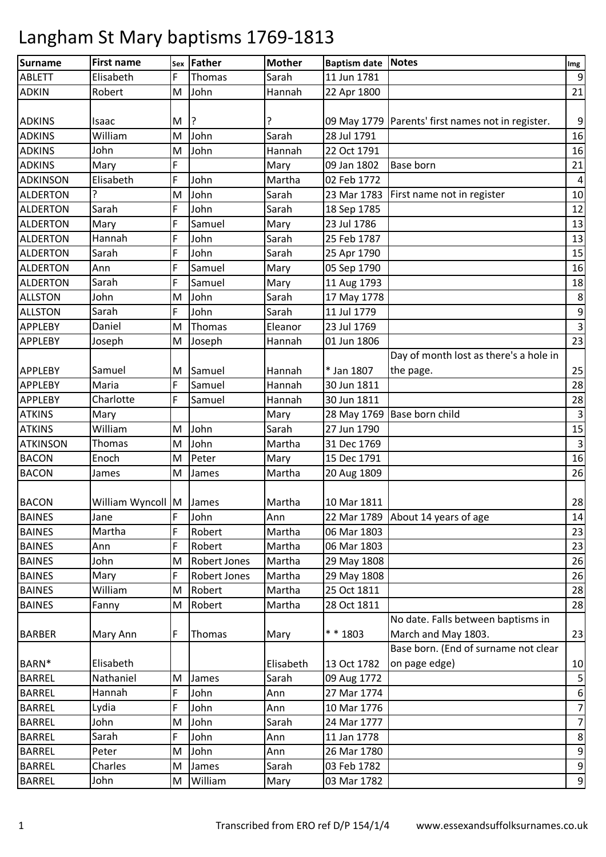| <b>Surname</b>  | <b>First name</b>       | Sex | Father              | <b>Mother</b> | <b>Baptism date Notes</b> |                                                     | Img                     |
|-----------------|-------------------------|-----|---------------------|---------------|---------------------------|-----------------------------------------------------|-------------------------|
| <b>ABLETT</b>   | Elisabeth               | F   | Thomas              | Sarah         | 11 Jun 1781               |                                                     | $\boldsymbol{9}$        |
| <b>ADKIN</b>    | Robert                  | M   | John                | Hannah        | 22 Apr 1800               |                                                     | 21                      |
|                 |                         |     |                     |               |                           |                                                     |                         |
| <b>ADKINS</b>   | Isaac                   | М   | ?                   |               |                           | 09 May 1779   Parents' first names not in register. | 9                       |
| <b>ADKINS</b>   | William                 | M   | John                | Sarah         | 28 Jul 1791               |                                                     | 16                      |
| <b>ADKINS</b>   | John                    | M   | John                | Hannah        | 22 Oct 1791               |                                                     | 16                      |
| <b>ADKINS</b>   | Mary                    | F   |                     | Mary          | 09 Jan 1802               | <b>Base born</b>                                    | 21                      |
| <b>ADKINSON</b> | Elisabeth               | F   | John                | Martha        | 02 Feb 1772               |                                                     | $\pmb{4}$               |
| <b>ALDERTON</b> | ?                       | M   | John                | Sarah         | 23 Mar 1783               | First name not in register                          | $10\,$                  |
| <b>ALDERTON</b> | Sarah                   | F   | John                | Sarah         | 18 Sep 1785               |                                                     | 12                      |
| <b>ALDERTON</b> | Mary                    | F   | Samuel              | Mary          | 23 Jul 1786               |                                                     | 13                      |
| <b>ALDERTON</b> | Hannah                  | F   | John                | Sarah         | 25 Feb 1787               |                                                     | 13                      |
| <b>ALDERTON</b> | Sarah                   | F   | John                | Sarah         | 25 Apr 1790               |                                                     | 15                      |
| <b>ALDERTON</b> | Ann                     | F   | Samuel              | Mary          | 05 Sep 1790               |                                                     | 16                      |
| <b>ALDERTON</b> | Sarah                   | F   | Samuel              | Mary          | 11 Aug 1793               |                                                     | 18                      |
| <b>ALLSTON</b>  | John                    | M   | John                | Sarah         | 17 May 1778               |                                                     | $\,8\,$                 |
| <b>ALLSTON</b>  | Sarah                   | F   | John                | Sarah         | 11 Jul 1779               |                                                     | $\boldsymbol{9}$        |
| <b>APPLEBY</b>  | Daniel                  | M   | Thomas              | Eleanor       | 23 Jul 1769               |                                                     | $\overline{\mathbf{3}}$ |
| <b>APPLEBY</b>  | Joseph                  | M   | Joseph              | Hannah        | 01 Jun 1806               |                                                     | 23                      |
|                 |                         |     |                     |               |                           | Day of month lost as there's a hole in              |                         |
| <b>APPLEBY</b>  | Samuel                  | М   | Samuel              | Hannah        | * Jan 1807                | the page.                                           | 25                      |
| <b>APPLEBY</b>  | Maria                   | F   | Samuel              | Hannah        | 30 Jun 1811               |                                                     | 28                      |
| <b>APPLEBY</b>  | Charlotte               | F   | Samuel              | Hannah        | 30 Jun 1811               |                                                     | 28                      |
| <b>ATKINS</b>   | Mary                    |     |                     | Mary          |                           | 28 May 1769 Base born child                         | $\mathbf{3}$            |
| <b>ATKINS</b>   | William                 | M   | John                | Sarah         | 27 Jun 1790               |                                                     | 15                      |
| <b>ATKINSON</b> | Thomas                  | M   | John                | Martha        | 31 Dec 1769               |                                                     | $\mathsf{3}$            |
| <b>BACON</b>    | Enoch                   | M   | Peter               | Mary          | 15 Dec 1791               |                                                     | 16                      |
| <b>BACON</b>    | James                   | M   | James               | Martha        | 20 Aug 1809               |                                                     | 26                      |
|                 |                         |     |                     |               |                           |                                                     |                         |
| <b>BACON</b>    | William Wyncoll M James |     |                     | Martha        | 10 Mar 1811               |                                                     | 28                      |
| <b>BAINES</b>   | Jane                    | F   | John                | Ann           |                           | 22 Mar 1789 About 14 years of age                   | 14                      |
| <b>BAINES</b>   | Martha                  | F   | Robert              | Martha        | 06 Mar 1803               |                                                     | 23                      |
| <b>BAINES</b>   | Ann                     | F   | Robert              | Martha        | 06 Mar 1803               |                                                     | 23                      |
| <b>BAINES</b>   | John                    | M   | <b>Robert Jones</b> | Martha        | 29 May 1808               |                                                     | 26                      |
| <b>BAINES</b>   | Mary                    | F   | <b>Robert Jones</b> | Martha        | 29 May 1808               |                                                     | 26                      |
| <b>BAINES</b>   | William                 | M   | Robert              | Martha        | 25 Oct 1811               |                                                     | 28                      |
| <b>BAINES</b>   | Fanny                   | M   | Robert              | Martha        | 28 Oct 1811               |                                                     | 28                      |
|                 |                         |     |                     |               |                           | No date. Falls between baptisms in                  |                         |
| <b>BARBER</b>   | Mary Ann                | F   | Thomas              | Mary          | * * 1803                  | March and May 1803.                                 | 23                      |
|                 |                         |     |                     |               |                           | Base born. (End of surname not clear                |                         |
| BARN*           | Elisabeth               |     |                     | Elisabeth     | 13 Oct 1782               | on page edge)                                       | 10                      |
| <b>BARREL</b>   | Nathaniel               | м   | James               | Sarah         | 09 Aug 1772               |                                                     | 5                       |
| <b>BARREL</b>   | Hannah                  | F   | John                | Ann           | 27 Mar 1774               |                                                     | $\boldsymbol{6}$        |
| <b>BARREL</b>   | Lydia                   | F   | John                | Ann           | 10 Mar 1776               |                                                     | $\overline{7}$          |
| <b>BARREL</b>   | John                    | M   | John                | Sarah         | 24 Mar 1777               |                                                     | $\overline{7}$          |
| <b>BARREL</b>   | Sarah                   | F   | John                | Ann           | 11 Jan 1778               |                                                     | 8                       |
| <b>BARREL</b>   | Peter                   | M   | John                | Ann           | 26 Mar 1780               |                                                     | 9                       |
| <b>BARREL</b>   | Charles                 | M   | James               | Sarah         | 03 Feb 1782               |                                                     | $\boldsymbol{9}$        |
| <b>BARREL</b>   | John                    | M   | William             | Mary          | 03 Mar 1782               |                                                     | $\boldsymbol{9}$        |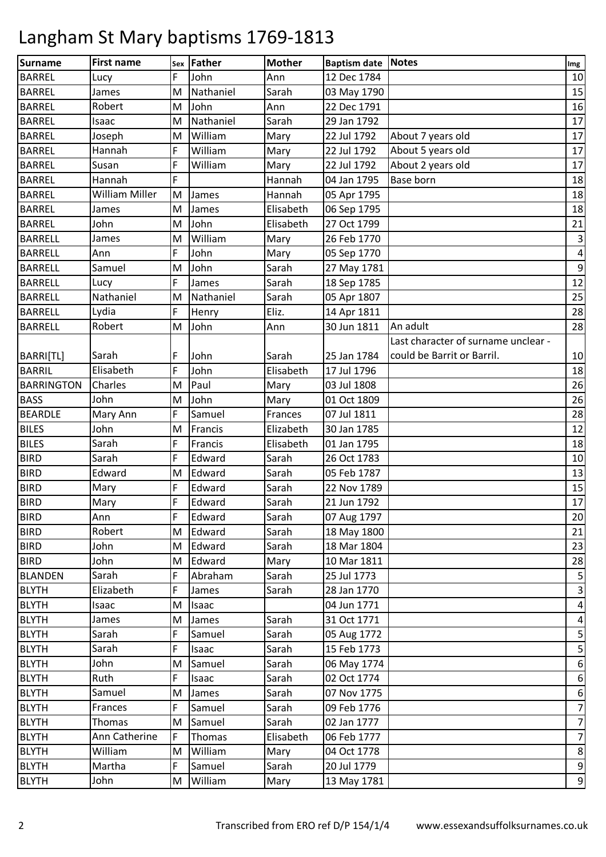| <b>Surname</b>    | <b>First name</b>     | Sex         | Father    | <b>Mother</b> | <b>Baptism date Notes</b> |                                     | Img                       |
|-------------------|-----------------------|-------------|-----------|---------------|---------------------------|-------------------------------------|---------------------------|
| <b>BARREL</b>     | Lucy                  | F           | John      | Ann           | 12 Dec 1784               |                                     | 10                        |
| <b>BARREL</b>     | James                 | M           | Nathaniel | Sarah         | 03 May 1790               |                                     | 15                        |
| <b>BARREL</b>     | Robert                | M           | John      | Ann           | 22 Dec 1791               |                                     | 16                        |
| <b>BARREL</b>     | Isaac                 | M           | Nathaniel | Sarah         | 29 Jan 1792               |                                     | 17                        |
| <b>BARREL</b>     | Joseph                | M           | William   | Mary          | 22 Jul 1792               | About 7 years old                   | 17                        |
| <b>BARREL</b>     | Hannah                | F           | William   | Mary          | 22 Jul 1792               | About 5 years old                   | 17                        |
| <b>BARREL</b>     | Susan                 | F           | William   | Mary          | 22 Jul 1792               | About 2 years old                   | 17                        |
| <b>BARREL</b>     | Hannah                | F           |           | Hannah        | 04 Jan 1795               | Base born                           | 18                        |
| <b>BARREL</b>     | <b>William Miller</b> | M           | James     | Hannah        | 05 Apr 1795               |                                     | 18                        |
| <b>BARREL</b>     | James                 | M           | James     | Elisabeth     | 06 Sep 1795               |                                     | 18                        |
| <b>BARREL</b>     | John                  | M           | John      | Elisabeth     | 27 Oct 1799               |                                     | 21                        |
| <b>BARRELL</b>    | James                 | M           | William   | Mary          | 26 Feb 1770               |                                     | $\ensuremath{\mathsf{3}}$ |
| <b>BARRELL</b>    | Ann                   | F           | John      | Mary          | 05 Sep 1770               |                                     | $\pmb{4}$                 |
| <b>BARRELL</b>    | Samuel                | M           | John      | Sarah         | 27 May 1781               |                                     | $\boldsymbol{9}$          |
| <b>BARRELL</b>    | Lucy                  | F           | James     | Sarah         | 18 Sep 1785               |                                     | 12                        |
| <b>BARRELL</b>    | Nathaniel             | M           | Nathaniel | Sarah         | 05 Apr 1807               |                                     | 25                        |
| <b>BARRELL</b>    | Lydia                 | F           | Henry     | Eliz.         | 14 Apr 1811               |                                     | 28                        |
| <b>BARRELL</b>    | Robert                | M           | John      | Ann           | 30 Jun 1811               | An adult                            | 28                        |
|                   |                       |             |           |               |                           | Last character of surname unclear - |                           |
| BARRI[TL]         | Sarah                 | F           | John      | Sarah         | 25 Jan 1784               | could be Barrit or Barril.          | 10                        |
| <b>BARRIL</b>     | Elisabeth             | F           | John      | Elisabeth     | 17 Jul 1796               |                                     | 18                        |
| <b>BARRINGTON</b> | Charles               | M           | Paul      | Mary          | 03 Jul 1808               |                                     | 26                        |
| <b>BASS</b>       | John                  | M           | John      | Mary          | 01 Oct 1809               |                                     | 26                        |
| <b>BEARDLE</b>    | Mary Ann              | F           | Samuel    | Frances       | 07 Jul 1811               |                                     | 28                        |
| <b>BILES</b>      | John                  | M           | Francis   | Elizabeth     | 30 Jan 1785               |                                     | 12                        |
| <b>BILES</b>      | Sarah                 | F           | Francis   | Elisabeth     | 01 Jan 1795               |                                     | 18                        |
| <b>BIRD</b>       | Sarah                 | F           | Edward    | Sarah         | 26 Oct 1783               |                                     | 10                        |
| <b>BIRD</b>       | Edward                | M           | Edward    | Sarah         | 05 Feb 1787               |                                     | 13                        |
| <b>BIRD</b>       | Mary                  | F           | Edward    | Sarah         | 22 Nov 1789               |                                     | 15                        |
| <b>BIRD</b>       | Mary                  | F           | Edward    | Sarah         | 21 Jun 1792               |                                     | 17                        |
| <b>BIRD</b>       | Ann                   | IF          | Edward    | Sarah         | 07 Aug 1797               |                                     | 20                        |
| <b>BIRD</b>       | Robert                | M           | Edward    | Sarah         | 18 May 1800               |                                     | 21                        |
| <b>BIRD</b>       | John                  | M           | Edward    | Sarah         | 18 Mar 1804               |                                     | 23                        |
| <b>BIRD</b>       | John                  | M           | Edward    | Mary          | 10 Mar 1811               |                                     | 28                        |
| <b>BLANDEN</b>    | Sarah                 | F           | Abraham   | Sarah         | 25 Jul 1773               |                                     | $\mathsf S$               |
| <b>BLYTH</b>      | Elizabeth             | F           | James     | Sarah         | 28 Jan 1770               |                                     | 3                         |
| <b>BLYTH</b>      | Isaac                 | M           | Isaac     |               | 04 Jun 1771               |                                     | 4                         |
| <b>BLYTH</b>      | James                 | M           | James     | Sarah         | 31 Oct 1771               |                                     | $\overline{\mathbf{4}}$   |
| <b>BLYTH</b>      | Sarah                 | F           | Samuel    | Sarah         | 05 Aug 1772               |                                     | $\mathsf S$               |
| <b>BLYTH</b>      | Sarah                 | F           | Isaac     | Sarah         | 15 Feb 1773               |                                     | $\mathsf S$               |
| <b>BLYTH</b>      | John                  | M           | Samuel    | Sarah         | 06 May 1774               |                                     | $\boldsymbol{6}$          |
| <b>BLYTH</b>      | Ruth                  | F           | Isaac     | Sarah         | 02 Oct 1774               |                                     | $\boldsymbol{6}$          |
| <b>BLYTH</b>      | Samuel                | M           | James     | Sarah         | 07 Nov 1775               |                                     | $\boldsymbol{6}$          |
| <b>BLYTH</b>      | Frances               | F           | Samuel    | Sarah         | 09 Feb 1776               |                                     | $\overline{7}$            |
| <b>BLYTH</b>      | Thomas                | M           | Samuel    | Sarah         | 02 Jan 1777               |                                     | $\overline{7}$            |
| <b>BLYTH</b>      | Ann Catherine         | $\mathsf F$ | Thomas    | Elisabeth     | 06 Feb 1777               |                                     | $\overline{7}$            |
| <b>BLYTH</b>      | William               | M           | William   | Mary          | 04 Oct 1778               |                                     | 8                         |
| <b>BLYTH</b>      | Martha                | F           | Samuel    | Sarah         | 20 Jul 1779               |                                     | $\boldsymbol{9}$          |
| <b>BLYTH</b>      | John                  | M           | William   | Mary          | 13 May 1781               |                                     | $\boldsymbol{9}$          |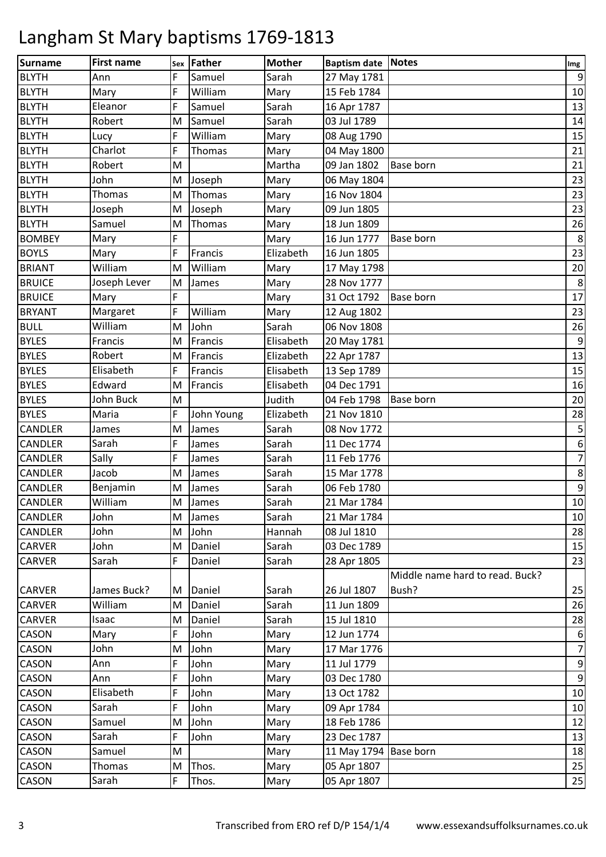| Surname        | <b>First name</b> |   | Sex Father | <b>Mother</b> | <b>Baptism date Notes</b> |                                 | Img              |
|----------------|-------------------|---|------------|---------------|---------------------------|---------------------------------|------------------|
| <b>BLYTH</b>   | Ann               | F | Samuel     | Sarah         | 27 May 1781               |                                 | $\boldsymbol{9}$ |
| <b>BLYTH</b>   | Mary              | F | William    | Mary          | 15 Feb 1784               |                                 | 10               |
| <b>BLYTH</b>   | Eleanor           | F | Samuel     | Sarah         | 16 Apr 1787               |                                 | 13               |
| <b>BLYTH</b>   | Robert            | M | Samuel     | Sarah         | 03 Jul 1789               |                                 | 14               |
| <b>BLYTH</b>   | Lucy              | F | William    | Mary          | 08 Aug 1790               |                                 | 15               |
| <b>BLYTH</b>   | Charlot           | F | Thomas     | Mary          | 04 May 1800               |                                 | 21               |
| <b>BLYTH</b>   | Robert            | M |            | Martha        | 09 Jan 1802               | <b>Base born</b>                | 21               |
| <b>BLYTH</b>   | John              | M | Joseph     | Mary          | 06 May 1804               |                                 | 23               |
| <b>BLYTH</b>   | Thomas            | M | Thomas     | Mary          | 16 Nov 1804               |                                 | 23               |
| <b>BLYTH</b>   | Joseph            | M | Joseph     | Mary          | 09 Jun 1805               |                                 | 23               |
| <b>BLYTH</b>   | Samuel            | M | Thomas     | Mary          | 18 Jun 1809               |                                 | 26               |
| <b>BOMBEY</b>  | Mary              | F |            | Mary          | 16 Jun 1777               | Base born                       | $\,8\,$          |
| <b>BOYLS</b>   | Mary              | F | Francis    | Elizabeth     | 16 Jun 1805               |                                 | 23               |
| <b>BRIANT</b>  | William           | M | William    | Mary          | 17 May 1798               |                                 | 20               |
| <b>BRUICE</b>  | Joseph Lever      | M | James      | Mary          | 28 Nov 1777               |                                 | $\,8\,$          |
| <b>BRUICE</b>  | Mary              | F |            | Mary          | 31 Oct 1792               | <b>Base born</b>                | 17               |
| <b>BRYANT</b>  | Margaret          | F | William    | Mary          | 12 Aug 1802               |                                 | 23               |
| <b>BULL</b>    | William           | M | John       | Sarah         | 06 Nov 1808               |                                 | 26               |
| <b>BYLES</b>   | Francis           | M | Francis    | Elisabeth     | 20 May 1781               |                                 | $\boldsymbol{9}$ |
| <b>BYLES</b>   | Robert            | M | Francis    | Elizabeth     | 22 Apr 1787               |                                 | 13               |
| <b>BYLES</b>   | Elisabeth         | F | Francis    | Elisabeth     | 13 Sep 1789               |                                 | 15               |
| <b>BYLES</b>   | Edward            | M | Francis    | Elisabeth     | 04 Dec 1791               |                                 | 16               |
| <b>BYLES</b>   | John Buck         | M |            | Judith        | 04 Feb 1798               | <b>Base born</b>                | 20               |
| <b>BYLES</b>   | Maria             | F | John Young | Elizabeth     | 21 Nov 1810               |                                 | 28               |
| <b>CANDLER</b> | James             | M | James      | Sarah         | 08 Nov 1772               |                                 | $\mathsf S$      |
| <b>CANDLER</b> | Sarah             | F | James      | Sarah         | 11 Dec 1774               |                                 | $\boldsymbol{6}$ |
| <b>CANDLER</b> | Sally             | F | James      | Sarah         | 11 Feb 1776               |                                 | $\overline{7}$   |
| <b>CANDLER</b> | Jacob             | M | James      | Sarah         | 15 Mar 1778               |                                 | $\,8\,$          |
| <b>CANDLER</b> | Benjamin          | M | James      | Sarah         | 06 Feb 1780               |                                 | $\boldsymbol{9}$ |
| <b>CANDLER</b> | William           | M | James      | Sarah         | 21 Mar 1784               |                                 | 10               |
| <b>CANDLER</b> | John              | M | James      | Sarah         | 21 Mar 1784               |                                 | 10               |
| <b>CANDLER</b> | John              | M | John       | Hannah        | 08 Jul 1810               |                                 | 28               |
| <b>CARVER</b>  | John              | M | Daniel     | Sarah         | 03 Dec 1789               |                                 | 15               |
| <b>CARVER</b>  | Sarah             | F | Daniel     | Sarah         | 28 Apr 1805               |                                 | 23               |
|                |                   |   |            |               |                           | Middle name hard to read. Buck? |                  |
| <b>CARVER</b>  | James Buck?       | M | Daniel     | Sarah         | 26 Jul 1807               | Bush?                           | 25               |
| <b>CARVER</b>  | William           | M | Daniel     | Sarah         | 11 Jun 1809               |                                 | 26               |
| <b>CARVER</b>  | Isaac             | M | Daniel     | Sarah         | 15 Jul 1810               |                                 | 28               |
| <b>CASON</b>   | Mary              | F | John       | Mary          | 12 Jun 1774               |                                 | 6                |
| <b>CASON</b>   | John              | M | John       | Mary          | 17 Mar 1776               |                                 | $\overline{7}$   |
| <b>CASON</b>   | Ann               | F | John       | Mary          | 11 Jul 1779               |                                 | $\boldsymbol{9}$ |
| <b>CASON</b>   | Ann               | F | John       | Mary          | 03 Dec 1780               |                                 | $\boldsymbol{9}$ |
| <b>CASON</b>   | Elisabeth         | F | John       | Mary          | 13 Oct 1782               |                                 | 10               |
| <b>CASON</b>   | Sarah             | F | John       | Mary          | 09 Apr 1784               |                                 | 10               |
| <b>CASON</b>   | Samuel            | M | John       | Mary          | 18 Feb 1786               |                                 | 12               |
| <b>CASON</b>   | Sarah             | F | John       | Mary          | 23 Dec 1787               |                                 | 13               |
| <b>CASON</b>   | Samuel            | M |            | Mary          | 11 May 1794               | <b>Base born</b>                | 18               |
| <b>CASON</b>   | Thomas            | M | Thos.      | Mary          | 05 Apr 1807               |                                 | 25               |
| CASON          | Sarah             | F | Thos.      | Mary          | 05 Apr 1807               |                                 | 25               |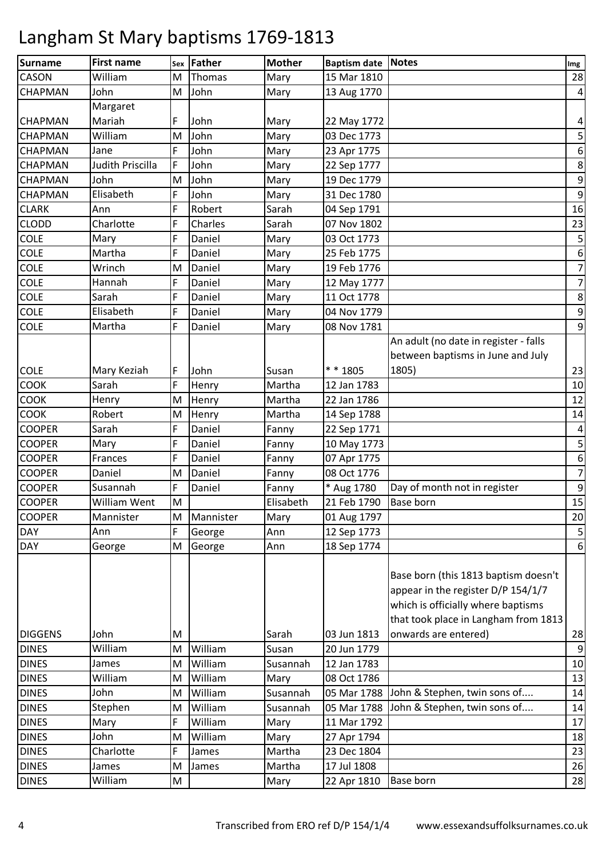| <b>Surname</b> | <b>First name</b> | Sex | Father    | <b>Mother</b> | Baptism date Notes |                                       | Img                     |
|----------------|-------------------|-----|-----------|---------------|--------------------|---------------------------------------|-------------------------|
| CASON          | William           | M   | Thomas    | Mary          | 15 Mar 1810        |                                       | 28                      |
| <b>CHAPMAN</b> | John              | M   | John      | Mary          | 13 Aug 1770        |                                       | $\overline{4}$          |
|                | Margaret          |     |           |               |                    |                                       |                         |
| <b>CHAPMAN</b> | Mariah            | F   | John      | Mary          | 22 May 1772        |                                       | $\overline{\mathbf{4}}$ |
| <b>CHAPMAN</b> | William           | M   | John      | Mary          | 03 Dec 1773        |                                       | $\mathsf S$             |
| <b>CHAPMAN</b> | Jane              | F   | John      | Mary          | 23 Apr 1775        |                                       | $\boldsymbol{6}$        |
| <b>CHAPMAN</b> | Judith Priscilla  | F   | John      | Mary          | 22 Sep 1777        |                                       | $\bf 8$                 |
| <b>CHAPMAN</b> | John              | M   | John      | Mary          | 19 Dec 1779        |                                       | $\boldsymbol{9}$        |
| <b>CHAPMAN</b> | Elisabeth         | F   | John      | Mary          | 31 Dec 1780        |                                       | $\boldsymbol{9}$        |
| <b>CLARK</b>   | Ann               | F   | Robert    | Sarah         | 04 Sep 1791        |                                       | 16                      |
| <b>CLODD</b>   | Charlotte         | F   | Charles   | Sarah         | 07 Nov 1802        |                                       | 23                      |
| COLE           | Mary              | F   | Daniel    | Mary          | 03 Oct 1773        |                                       | $\mathsf S$             |
| <b>COLE</b>    | Martha            | F   | Daniel    | Mary          | 25 Feb 1775        |                                       | $\boldsymbol{6}$        |
| <b>COLE</b>    | Wrinch            | M   | Daniel    | Mary          | 19 Feb 1776        |                                       | $\overline{7}$          |
| <b>COLE</b>    | Hannah            | F   | Daniel    | Mary          | 12 May 1777        |                                       | $\boldsymbol{7}$        |
| <b>COLE</b>    | Sarah             | F   | Daniel    | Mary          | 11 Oct 1778        |                                       | $\,$ 8 $\,$             |
| COLE           | Elisabeth         | F   | Daniel    | Mary          | 04 Nov 1779        |                                       | $\boldsymbol{9}$        |
| <b>COLE</b>    | Martha            | F   | Daniel    | Mary          | 08 Nov 1781        |                                       | $\boldsymbol{9}$        |
|                |                   |     |           |               |                    | An adult (no date in register - falls |                         |
|                |                   |     |           |               |                    | between baptisms in June and July     |                         |
| <b>COLE</b>    | Mary Keziah       | F   | John      | Susan         | * * 1805           | 1805)                                 | 23                      |
| <b>COOK</b>    | Sarah             | F   | Henry     | Martha        | 12 Jan 1783        |                                       | 10                      |
| <b>COOK</b>    | Henry             | M   | Henry     | Martha        | 22 Jan 1786        |                                       | 12                      |
| COOK           | Robert            | M   | Henry     | Martha        | 14 Sep 1788        |                                       | 14                      |
| <b>COOPER</b>  | Sarah             | F   | Daniel    | Fanny         | 22 Sep 1771        |                                       | $\overline{4}$          |
| <b>COOPER</b>  | Mary              | F   | Daniel    | Fanny         | 10 May 1773        |                                       | $\mathsf S$             |
| <b>COOPER</b>  | Frances           | F   | Daniel    | Fanny         | 07 Apr 1775        |                                       | $\boldsymbol{6}$        |
| <b>COOPER</b>  | Daniel            | M   | Daniel    | Fanny         | 08 Oct 1776        |                                       | $\overline{7}$          |
| <b>COOPER</b>  | Susannah          | F   | Daniel    | Fanny         | * Aug 1780         | Day of month not in register          | $\boldsymbol{9}$        |
| <b>COOPER</b>  | William Went      | M   |           | Elisabeth     | 21 Feb 1790        | <b>Base born</b>                      | 15                      |
| <b>COOPER</b>  | Mannister         | M   | Mannister | Mary          | 01 Aug 1797        |                                       | 20                      |
| <b>DAY</b>     | Ann               | F   | George    | Ann           | 12 Sep 1773        |                                       | $\overline{5}$          |
| <b>DAY</b>     | George            | M   | George    | Ann           | 18 Sep 1774        |                                       | $\boldsymbol{6}$        |
|                |                   |     |           |               |                    |                                       |                         |
|                |                   |     |           |               |                    | Base born (this 1813 baptism doesn't  |                         |
|                |                   |     |           |               |                    | appear in the register D/P 154/1/7    |                         |
|                |                   |     |           |               |                    | which is officially where baptisms    |                         |
|                |                   |     |           |               |                    | that took place in Langham from 1813  |                         |
| <b>DIGGENS</b> | John              | M   |           | Sarah         | 03 Jun 1813        | onwards are entered)                  | 28                      |
| <b>DINES</b>   | William           | M   | William   | Susan         | 20 Jun 1779        |                                       | $\boldsymbol{9}$        |
| <b>DINES</b>   | James             | M   | William   | Susannah      | 12 Jan 1783        |                                       | 10                      |
| <b>DINES</b>   | William           | M   | William   | Mary          | 08 Oct 1786        |                                       | 13                      |
| <b>DINES</b>   | John              | M   | William   | Susannah      | 05 Mar 1788        | John & Stephen, twin sons of          | 14                      |
| <b>DINES</b>   | Stephen           | M   | William   | Susannah      | 05 Mar 1788        | John & Stephen, twin sons of          | 14                      |
| <b>DINES</b>   | Mary              | F   | William   | Mary          | 11 Mar 1792        |                                       | 17                      |
| <b>DINES</b>   | John              | M   | William   | Mary          | 27 Apr 1794        |                                       | 18                      |
| <b>DINES</b>   | Charlotte         | F   | James     | Martha        | 23 Dec 1804        |                                       | 23                      |
| <b>DINES</b>   | James             | M   | James     | Martha        | 17 Jul 1808        |                                       | 26                      |
| <b>DINES</b>   | William           | M   |           | Mary          | 22 Apr 1810        | Base born                             | 28                      |
|                |                   |     |           |               |                    |                                       |                         |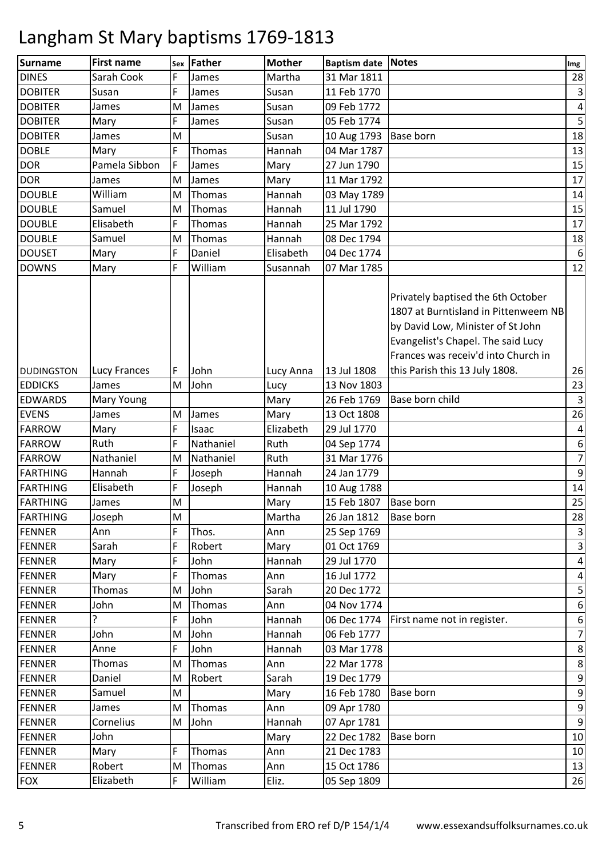| <b>Surname</b>    | <b>First name</b> | Sex       | <b>Father</b> | <b>Mother</b> | <b>Baptism date Notes</b> |                                                                                                                                                                                              | Img                     |
|-------------------|-------------------|-----------|---------------|---------------|---------------------------|----------------------------------------------------------------------------------------------------------------------------------------------------------------------------------------------|-------------------------|
| <b>DINES</b>      | Sarah Cook        | F         | James         | Martha        | 31 Mar 1811               |                                                                                                                                                                                              | 28                      |
| <b>DOBITER</b>    | Susan             | F         | James         | Susan         | 11 Feb 1770               |                                                                                                                                                                                              | $\overline{\mathbf{3}}$ |
| <b>DOBITER</b>    | James             | M         | James         | Susan         | 09 Feb 1772               |                                                                                                                                                                                              | $\pmb{4}$               |
| <b>DOBITER</b>    | Mary              | F         | James         | Susan         | 05 Feb 1774               |                                                                                                                                                                                              | 5                       |
| <b>DOBITER</b>    | James             | M         |               | Susan         | 10 Aug 1793               | <b>Base born</b>                                                                                                                                                                             | 18                      |
| <b>DOBLE</b>      | Mary              | F         | Thomas        | Hannah        | 04 Mar 1787               |                                                                                                                                                                                              | 13                      |
| <b>DOR</b>        | Pamela Sibbon     | F         | James         | Mary          | 27 Jun 1790               |                                                                                                                                                                                              | 15                      |
| <b>DOR</b>        | James             | ${\sf M}$ | James         | Mary          | 11 Mar 1792               |                                                                                                                                                                                              | 17                      |
| <b>DOUBLE</b>     | William           | M         | Thomas        | Hannah        | 03 May 1789               |                                                                                                                                                                                              | 14                      |
| <b>DOUBLE</b>     | Samuel            | M         | Thomas        | Hannah        | 11 Jul 1790               |                                                                                                                                                                                              | 15                      |
| <b>DOUBLE</b>     | Elisabeth         | F         | Thomas        | Hannah        | 25 Mar 1792               |                                                                                                                                                                                              | 17                      |
| <b>DOUBLE</b>     | Samuel            | M         | Thomas        | Hannah        | 08 Dec 1794               |                                                                                                                                                                                              | 18                      |
| <b>DOUSET</b>     | Mary              | F         | Daniel        | Elisabeth     | 04 Dec 1774               |                                                                                                                                                                                              | $\boldsymbol{6}$        |
| <b>DOWNS</b>      | Mary              | F         | William       | Susannah      | 07 Mar 1785               |                                                                                                                                                                                              | 12                      |
|                   |                   |           |               |               |                           | Privately baptised the 6th October<br>1807 at Burntisland in Pittenweem NB<br>by David Low, Minister of St John<br>Evangelist's Chapel. The said Lucy<br>Frances was receiv'd into Church in |                         |
| <b>DUDINGSTON</b> | Lucy Frances      | F         | John          | Lucy Anna     | 13 Jul 1808               | this Parish this 13 July 1808.                                                                                                                                                               | 26                      |
| <b>EDDICKS</b>    | James             | M         | John          | Lucy          | 13 Nov 1803               |                                                                                                                                                                                              | 23                      |
| <b>EDWARDS</b>    | Mary Young        |           |               | Mary          | 26 Feb 1769               | Base born child                                                                                                                                                                              | $\mathsf{3}$            |
| <b>EVENS</b>      | James             | M         | James         | Mary          | 13 Oct 1808               |                                                                                                                                                                                              | 26                      |
| <b>FARROW</b>     | Mary              | F         | Isaac         | Elizabeth     | 29 Jul 1770               |                                                                                                                                                                                              | $\overline{\mathbf{4}}$ |
| <b>FARROW</b>     | Ruth              | F         | Nathaniel     | Ruth          | 04 Sep 1774               |                                                                                                                                                                                              | 6                       |
| <b>FARROW</b>     | Nathaniel         | M         | Nathaniel     | Ruth          | 31 Mar 1776               |                                                                                                                                                                                              | $\overline{7}$          |
| FARTHING          | Hannah            | F         | Joseph        | Hannah        | 24 Jan 1779               |                                                                                                                                                                                              | $\boldsymbol{9}$        |
| <b>FARTHING</b>   | Elisabeth         | F         | Joseph        | Hannah        | 10 Aug 1788               |                                                                                                                                                                                              | 14                      |
| <b>FARTHING</b>   | James             | M         |               | Mary          | 15 Feb 1807               | <b>Base born</b>                                                                                                                                                                             | 25                      |
| <b>FARTHING</b>   | Joseph            | M         |               | Martha        | 26 Jan 1812               | <b>Base born</b>                                                                                                                                                                             | 28                      |
| <b>FENNER</b>     | Ann               | F         | Thos.         | Ann           | 25 Sep 1769               |                                                                                                                                                                                              | $\mathsf{3}$            |
| <b>FENNER</b>     | Sarah             | F         | Robert        | Mary          | 01 Oct 1769               |                                                                                                                                                                                              | $\mathsf{3}$            |
| <b>FENNER</b>     | Mary              | F         | John          | Hannah        | 29 Jul 1770               |                                                                                                                                                                                              | $\pmb{4}$               |
| <b>FENNER</b>     | Mary              | F         | Thomas        | Ann           | 16 Jul 1772               |                                                                                                                                                                                              | $\overline{\mathbf{r}}$ |
| <b>FENNER</b>     | Thomas            | M         | John          | Sarah         | 20 Dec 1772               |                                                                                                                                                                                              | 5                       |
| <b>FENNER</b>     | John              | M         | Thomas        | Ann           | 04 Nov 1774               |                                                                                                                                                                                              | $\boldsymbol{6}$        |
| <b>FENNER</b>     | ?                 | F         | John          | Hannah        | 06 Dec 1774               | First name not in register.                                                                                                                                                                  | $\boldsymbol{6}$        |
| <b>FENNER</b>     | John              | M         | John          | Hannah        | 06 Feb 1777               |                                                                                                                                                                                              | $\overline{7}$          |
| <b>FENNER</b>     | Anne              | F         | John          | Hannah        | 03 Mar 1778               |                                                                                                                                                                                              | 8                       |
| <b>FENNER</b>     | Thomas            | M         | Thomas        | Ann           | 22 Mar 1778               |                                                                                                                                                                                              | $\,8\,$                 |
| <b>FENNER</b>     | Daniel            | M         | Robert        | Sarah         | 19 Dec 1779               |                                                                                                                                                                                              | $\boldsymbol{9}$        |
| <b>FENNER</b>     | Samuel            | M         |               | Mary          | 16 Feb 1780               | <b>Base born</b>                                                                                                                                                                             | $\boldsymbol{9}$        |
| <b>FENNER</b>     | James             | M         | Thomas        | Ann           | 09 Apr 1780               |                                                                                                                                                                                              | $\boldsymbol{9}$        |
| <b>FENNER</b>     | Cornelius         | M         | John          | Hannah        | 07 Apr 1781               |                                                                                                                                                                                              | $\boldsymbol{9}$        |
| <b>FENNER</b>     | John              |           |               | Mary          | 22 Dec 1782               | <b>Base born</b>                                                                                                                                                                             | 10                      |
| <b>FENNER</b>     | Mary              | F         | Thomas        | Ann           | 21 Dec 1783               |                                                                                                                                                                                              | 10                      |
| <b>FENNER</b>     | Robert            | M         | Thomas        | Ann           | 15 Oct 1786               |                                                                                                                                                                                              | 13                      |
| <b>FOX</b>        | Elizabeth         | F         | William       | Eliz.         | 05 Sep 1809               |                                                                                                                                                                                              | 26                      |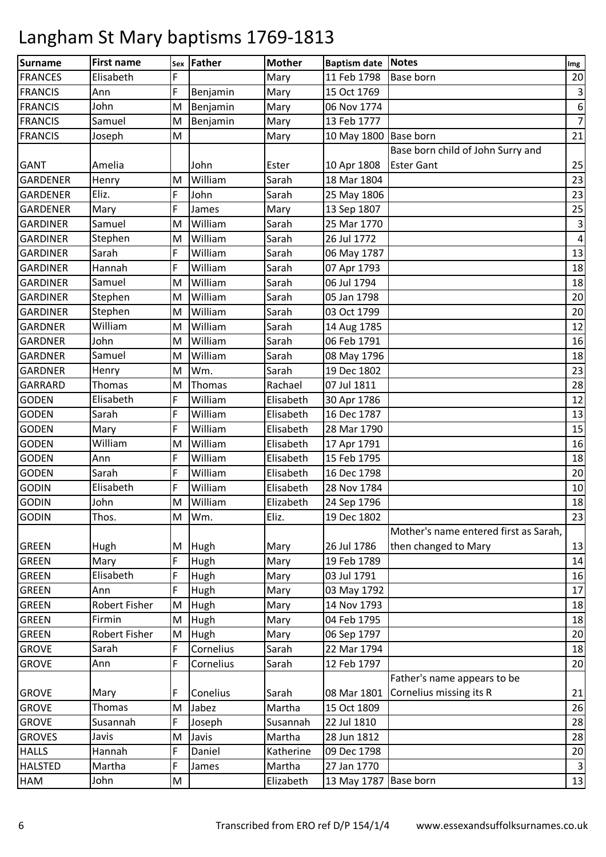| <b>Surname</b>  | <b>First name</b>    | Sex | <b>Father</b> | <b>Mother</b> | Baptism date Notes    |                                       | Img                     |
|-----------------|----------------------|-----|---------------|---------------|-----------------------|---------------------------------------|-------------------------|
| <b>FRANCES</b>  | Elisabeth            | F   |               | Mary          | 11 Feb 1798           | <b>Base born</b>                      | 20                      |
| <b>FRANCIS</b>  | Ann                  | F   | Benjamin      | Mary          | 15 Oct 1769           |                                       | 3                       |
| <b>FRANCIS</b>  | John                 | M   | Benjamin      | Mary          | 06 Nov 1774           |                                       | $\boldsymbol{6}$        |
| <b>FRANCIS</b>  | Samuel               | M   | Benjamin      | Mary          | 13 Feb 1777           |                                       | $\overline{7}$          |
| <b>FRANCIS</b>  | Joseph               | M   |               | Mary          | 10 May 1800 Base born |                                       | 21                      |
|                 |                      |     |               |               |                       | Base born child of John Surry and     |                         |
| GANT            | Amelia               |     | John          | Ester         | 10 Apr 1808           | <b>Ester Gant</b>                     | 25                      |
| <b>GARDENER</b> | Henry                | M   | William       | Sarah         | 18 Mar 1804           |                                       | 23                      |
| <b>GARDENER</b> | Eliz.                | F   | John          | Sarah         | 25 May 1806           |                                       | 23                      |
| <b>GARDENER</b> | Mary                 | F   | James         | Mary          | 13 Sep 1807           |                                       | 25                      |
| <b>GARDINER</b> | Samuel               | M   | William       | Sarah         | 25 Mar 1770           |                                       | 3                       |
| <b>GARDINER</b> | Stephen              | M   | William       | Sarah         | 26 Jul 1772           |                                       | $\overline{\mathbf{4}}$ |
| <b>GARDINER</b> | Sarah                | F   | William       | Sarah         | 06 May 1787           |                                       | 13                      |
| <b>GARDINER</b> | Hannah               | F   | William       | Sarah         | 07 Apr 1793           |                                       | 18                      |
| <b>GARDINER</b> | Samuel               | M   | William       | Sarah         | 06 Jul 1794           |                                       | 18                      |
| <b>GARDINER</b> | Stephen              | M   | William       | Sarah         | 05 Jan 1798           |                                       | 20                      |
| <b>GARDINER</b> | Stephen              | M   | William       | Sarah         | 03 Oct 1799           |                                       | 20                      |
| <b>GARDNER</b>  | William              | M   | William       | Sarah         | 14 Aug 1785           |                                       | 12                      |
| <b>GARDNER</b>  | John                 | M   | William       | Sarah         | 06 Feb 1791           |                                       | 16                      |
| <b>GARDNER</b>  | Samuel               | M   | William       | Sarah         | 08 May 1796           |                                       | 18                      |
| <b>GARDNER</b>  | Henry                | M   | Wm.           | Sarah         | 19 Dec 1802           |                                       | 23                      |
| GARRARD         | Thomas               | M   | Thomas        | Rachael       | 07 Jul 1811           |                                       | 28                      |
| <b>GODEN</b>    | Elisabeth            | F   | William       | Elisabeth     | 30 Apr 1786           |                                       | 12                      |
| <b>GODEN</b>    | Sarah                | F   | William       | Elisabeth     | 16 Dec 1787           |                                       | 13                      |
| <b>GODEN</b>    | Mary                 | F   | William       | Elisabeth     | 28 Mar 1790           |                                       | 15                      |
| <b>GODEN</b>    | William              | M   | William       | Elisabeth     | 17 Apr 1791           |                                       | 16                      |
| <b>GODEN</b>    | Ann                  | F   | William       | Elisabeth     | 15 Feb 1795           |                                       | 18                      |
| <b>GODEN</b>    | Sarah                | F   | William       | Elisabeth     | 16 Dec 1798           |                                       | 20                      |
| <b>GODIN</b>    | Elisabeth            | F   | William       | Elisabeth     | 28 Nov 1784           |                                       | 10                      |
| <b>GODIN</b>    | John                 | M   | William       | Elizabeth     | 24 Sep 1796           |                                       | 18                      |
| <b>GODIN</b>    | Thos.                | M   | Wm.           | Eliz.         | 19 Dec 1802           |                                       | 23                      |
|                 |                      |     |               |               |                       | Mother's name entered first as Sarah, |                         |
| <b>GREEN</b>    | Hugh                 | M   | Hugh          | Mary          | 26 Jul 1786           | then changed to Mary                  | 13                      |
| <b>GREEN</b>    | Mary                 | F   | Hugh          | Mary          | 19 Feb 1789           |                                       | 14                      |
| <b>GREEN</b>    | Elisabeth            | F   | Hugh          | Mary          | 03 Jul 1791           |                                       | 16                      |
| <b>GREEN</b>    | Ann                  | F   | Hugh          | Mary          | 03 May 1792           |                                       | 17                      |
| <b>GREEN</b>    | Robert Fisher        | M   | Hugh          | Mary          | 14 Nov 1793           |                                       | 18                      |
| <b>GREEN</b>    | Firmin               | M   | Hugh          | Mary          | 04 Feb 1795           |                                       | 18                      |
| <b>GREEN</b>    | <b>Robert Fisher</b> | M   | Hugh          | Mary          | 06 Sep 1797           |                                       | 20                      |
| <b>GROVE</b>    | Sarah                | F   | Cornelius     | Sarah         | 22 Mar 1794           |                                       | 18                      |
| <b>GROVE</b>    | Ann                  | F   | Cornelius     | Sarah         | 12 Feb 1797           |                                       | 20                      |
|                 |                      |     |               |               |                       | Father's name appears to be           |                         |
| <b>GROVE</b>    | Mary                 | F   | Conelius      | Sarah         | 08 Mar 1801           | Cornelius missing its R               | 21                      |
| <b>GROVE</b>    | Thomas               | M   | Jabez         | Martha        | 15 Oct 1809           |                                       | 26                      |
| <b>GROVE</b>    | Susannah             | F   | Joseph        | Susannah      | 22 Jul 1810           |                                       | 28                      |
| <b>GROVES</b>   | Javis                | M   | Javis         | Martha        | 28 Jun 1812           |                                       | 28                      |
| <b>HALLS</b>    | Hannah               | F   | Daniel        | Katherine     | 09 Dec 1798           |                                       | 20                      |
| <b>HALSTED</b>  | Martha               | F   | James         | Martha        | 27 Jan 1770           |                                       | $\overline{3}$          |
| HAM             | John                 | M   |               | Elizabeth     | 13 May 1787           | <b>Base born</b>                      | 13                      |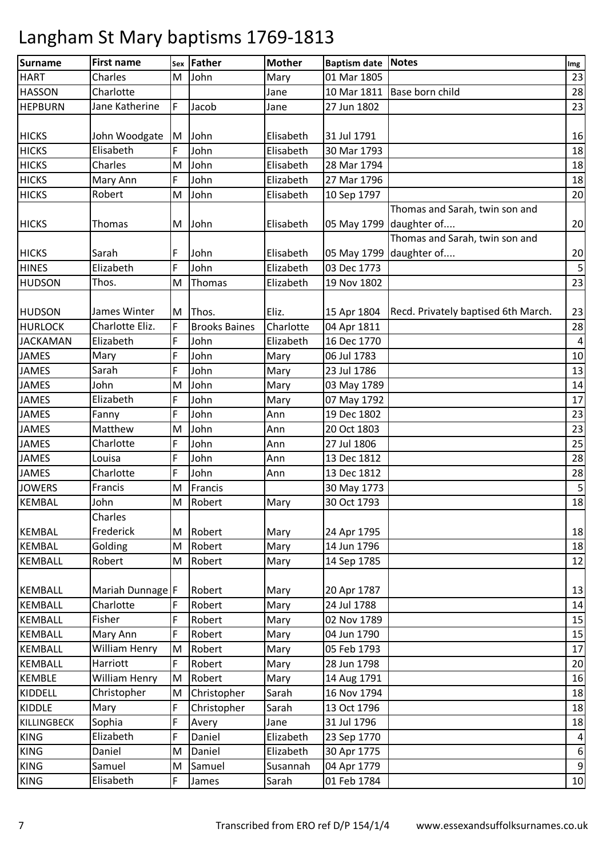| <b>Surname</b>  | <b>First name</b>                | Sex | Father               | <b>Mother</b> | <b>Baptism date Notes</b>  |                                     | Img                     |
|-----------------|----------------------------------|-----|----------------------|---------------|----------------------------|-------------------------------------|-------------------------|
| <b>HART</b>     | Charles                          | M   | John                 | Mary          | 01 Mar 1805                |                                     | 23                      |
| <b>HASSON</b>   | Charlotte                        |     |                      | Jane          | 10 Mar 1811                | Base born child                     | 28                      |
| <b>HEPBURN</b>  | Jane Katherine                   | F   | Jacob                | Jane          | 27 Jun 1802                |                                     | 23                      |
|                 |                                  |     |                      |               |                            |                                     |                         |
| <b>HICKS</b>    | John Woodgate                    | M   | John                 | Elisabeth     | 31 Jul 1791                |                                     | 16                      |
| <b>HICKS</b>    | Elisabeth                        | F   | John                 | Elisabeth     | 30 Mar 1793                |                                     | 18                      |
| <b>HICKS</b>    | Charles                          | M   | John                 | Elisabeth     | 28 Mar 1794                |                                     | 18                      |
| <b>HICKS</b>    | Mary Ann                         | F   | John                 | Elizabeth     | 27 Mar 1796                |                                     | 18                      |
| <b>HICKS</b>    | Robert                           | M   | John                 | Elisabeth     | 10 Sep 1797                |                                     | 20                      |
|                 |                                  |     |                      |               |                            | Thomas and Sarah, twin son and      |                         |
| <b>HICKS</b>    | Thomas                           | M   | John                 | Elisabeth     |                            | 05 May 1799 daughter of             | 20                      |
|                 |                                  |     |                      |               |                            | Thomas and Sarah, twin son and      |                         |
| <b>HICKS</b>    | Sarah                            | F   | John                 | Elisabeth     |                            | 05 May 1799 daughter of             | 20                      |
| <b>HINES</b>    | Elizabeth                        | F   | John                 | Elizabeth     | 03 Dec 1773                |                                     | $\overline{\mathbf{5}}$ |
| <b>HUDSON</b>   | Thos.                            | M   | Thomas               | Elizabeth     | 19 Nov 1802                |                                     | 23                      |
|                 |                                  |     |                      |               |                            |                                     |                         |
| <b>HUDSON</b>   | James Winter                     | M   | Thos.                | Eliz.         | 15 Apr 1804                | Recd. Privately baptised 6th March. | 23                      |
| <b>HURLOCK</b>  | Charlotte Eliz.                  | F   | <b>Brooks Baines</b> | Charlotte     | 04 Apr 1811                |                                     | 28                      |
| <b>JACKAMAN</b> | Elizabeth                        | F   | John                 | Elizabeth     | 16 Dec 1770                |                                     | $\overline{a}$          |
| <b>JAMES</b>    | Mary                             | F   | John                 | Mary          | 06 Jul 1783                |                                     | 10                      |
| <b>JAMES</b>    | Sarah                            | F   | John                 | Mary          | 23 Jul 1786                |                                     | 13                      |
| <b>JAMES</b>    | John                             | M   | John                 | Mary          | 03 May 1789                |                                     | 14                      |
| <b>JAMES</b>    | Elizabeth                        | F   | John                 | Mary          | 07 May 1792                |                                     | 17                      |
| <b>JAMES</b>    | Fanny                            | F   | John                 | Ann           | 19 Dec 1802                |                                     | 23                      |
| <b>JAMES</b>    | Matthew                          | M   | John                 | Ann           | 20 Oct 1803                |                                     | 23                      |
| <b>JAMES</b>    | Charlotte                        | F   | John                 | Ann           | 27 Jul 1806                |                                     | 25                      |
| <b>JAMES</b>    | Louisa                           | F   | John                 | Ann           | 13 Dec 1812                |                                     | 28                      |
| <b>JAMES</b>    | Charlotte                        | F   | John                 | Ann           | 13 Dec 1812                |                                     | 28                      |
| <b>JOWERS</b>   | Francis                          | M   | Francis              |               | 30 May 1773                |                                     | $\mathsf S$             |
| <b>KEMBAL</b>   | John                             | M   | Robert               | Mary          | 30 Oct 1793                |                                     | 18                      |
|                 | Charles                          |     |                      |               |                            |                                     |                         |
| <b>KEMBAL</b>   | Frederick                        | М   | Robert               | Mary          | 24 Apr 1795                |                                     | 18                      |
| <b>KEMBAL</b>   | Golding                          | M   | Robert               | Mary          | 14 Jun 1796                |                                     | 18                      |
| <b>KEMBALL</b>  | Robert                           | M   | Robert               | Mary          | 14 Sep 1785                |                                     | 12                      |
|                 |                                  |     |                      |               |                            |                                     |                         |
| <b>KEMBALL</b>  | Mariah Dunnage F                 |     | Robert               | Mary          |                            |                                     | 13                      |
| <b>KEMBALL</b>  | Charlotte                        |     | Robert               | Mary          | 20 Apr 1787<br>24 Jul 1788 |                                     | 14                      |
| <b>KEMBALL</b>  | Fisher                           | F   | Robert               | Mary          | 02 Nov 1789                |                                     | 15                      |
|                 |                                  | F   |                      |               |                            |                                     |                         |
| <b>KEMBALL</b>  | Mary Ann<br><b>William Henry</b> |     | Robert               | Mary          | 04 Jun 1790                |                                     | 15                      |
| <b>KEMBALL</b>  | Harriott                         | M   | Robert               | Mary          | 05 Feb 1793                |                                     | 17                      |
| <b>KEMBALL</b>  |                                  | F   | Robert               | Mary          | 28 Jun 1798                |                                     | 20                      |
| <b>KEMBLE</b>   | William Henry                    | M   | Robert               | Mary          | 14 Aug 1791                |                                     | 16                      |
| KIDDELL         | Christopher                      | M   | Christopher          | Sarah         | 16 Nov 1794                |                                     | 18                      |
| <b>KIDDLE</b>   | Mary                             | F   | Christopher          | Sarah         | 13 Oct 1796                |                                     | 18                      |
| KILLINGBECK     | Sophia                           | F   | Avery                | Jane          | 31 Jul 1796                |                                     | 18                      |
| <b>KING</b>     | Elizabeth                        | F   | Daniel               | Elizabeth     | 23 Sep 1770                |                                     | $\overline{a}$          |
| <b>KING</b>     | Daniel                           | M   | Daniel               | Elizabeth     | 30 Apr 1775                |                                     | $\boldsymbol{6}$        |
| <b>KING</b>     | Samuel                           | M   | Samuel               | Susannah      | 04 Apr 1779                |                                     | $\overline{9}$          |
| <b>KING</b>     | Elisabeth                        | F   | James                | Sarah         | 01 Feb 1784                |                                     | 10                      |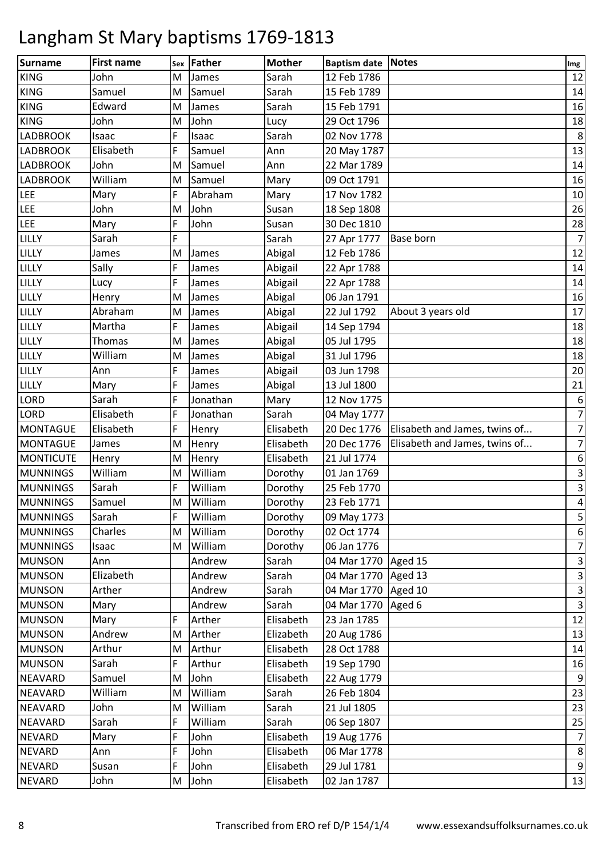| Surname          | <b>First name</b> | Sex | <b>Father</b> | <b>Mother</b> | <b>Baptism date Notes</b> |                               | Img                     |
|------------------|-------------------|-----|---------------|---------------|---------------------------|-------------------------------|-------------------------|
| <b>KING</b>      | John              | M   | James         | Sarah         | 12 Feb 1786               |                               | 12                      |
| <b>KING</b>      | Samuel            | M   | Samuel        | Sarah         | 15 Feb 1789               |                               | 14                      |
| <b>KING</b>      | Edward            | M   | James         | Sarah         | 15 Feb 1791               |                               | 16                      |
| <b>KING</b>      | John              | M   | John          | Lucy          | 29 Oct 1796               |                               | 18                      |
| <b>LADBROOK</b>  | Isaac             | F   | Isaac         | Sarah         | 02 Nov 1778               |                               | $\bf 8$                 |
| <b>LADBROOK</b>  | Elisabeth         | F   | Samuel        | Ann           | 20 May 1787               |                               | 13                      |
| <b>LADBROOK</b>  | John              | M   | Samuel        | Ann           | 22 Mar 1789               |                               | 14                      |
| <b>LADBROOK</b>  | William           | M   | Samuel        | Mary          | 09 Oct 1791               |                               | 16                      |
| <b>LEE</b>       | Mary              | F   | Abraham       | Mary          | 17 Nov 1782               |                               | 10                      |
| <b>LEE</b>       | John              | M   | John          | Susan         | 18 Sep 1808               |                               | 26                      |
| <b>LEE</b>       | Mary              | F   | John          | Susan         | 30 Dec 1810               |                               | 28                      |
| LILLY            | Sarah             | F   |               | Sarah         | 27 Apr 1777               | Base born                     | $\overline{7}$          |
| LILLY            | James             | M   | James         | Abigal        | 12 Feb 1786               |                               | 12                      |
| LILLY            | Sally             | F   | James         | Abigail       | 22 Apr 1788               |                               | 14                      |
| LILLY            | Lucy              | F   | James         | Abigail       | 22 Apr 1788               |                               | 14                      |
| <b>LILLY</b>     | Henry             | M   | James         | Abigal        | 06 Jan 1791               |                               | 16                      |
| LILLY            | Abraham           | M   | James         | Abigal        | 22 Jul 1792               | About 3 years old             | 17                      |
| LILLY            | Martha            | F   | James         | Abigail       | 14 Sep 1794               |                               | 18                      |
| LILLY            | Thomas            | M   | James         | Abigal        | 05 Jul 1795               |                               | 18                      |
| LILLY            | William           | M   | James         | Abigal        | 31 Jul 1796               |                               | 18                      |
| LILLY            | Ann               | F   | James         | Abigail       | 03 Jun 1798               |                               | 20                      |
| LILLY            | Mary              | F   | James         | Abigal        | 13 Jul 1800               |                               | 21                      |
| <b>LORD</b>      | Sarah             | F   | Jonathan      | Mary          | 12 Nov 1775               |                               | $\boldsymbol{6}$        |
| <b>LORD</b>      | Elisabeth         | F   | Jonathan      | Sarah         | 04 May 1777               |                               | $\overline{7}$          |
| <b>MONTAGUE</b>  | Elisabeth         | F   | Henry         | Elisabeth     | 20 Dec 1776               | Elisabeth and James, twins of | $\overline{7}$          |
| <b>MONTAGUE</b>  | James             | M   | Henry         | Elisabeth     | 20 Dec 1776               | Elisabeth and James, twins of | $\overline{7}$          |
| <b>MONTICUTE</b> | Henry             | M   | Henry         | Elisabeth     | 21 Jul 1774               |                               | 6                       |
| <b>MUNNINGS</b>  | William           | M   | William       | Dorothy       | 01 Jan 1769               |                               | $\mathbf{3}$            |
| <b>MUNNINGS</b>  | Sarah             | F   | William       | Dorothy       | 25 Feb 1770               |                               | $\mathbf{3}$            |
| <b>MUNNINGS</b>  | Samuel            | M   | William       | Dorothy       | 23 Feb 1771               |                               | $\overline{\mathbf{4}}$ |
| <b>MUNNINGS</b>  | Sarah             | F   | William       | Dorothy       | 09 May 1773               |                               | 5                       |
| <b>MUNNINGS</b>  | Charles           | M   | William       | Dorothy       | 02 Oct 1774               |                               | $\boldsymbol{6}$        |
| <b>MUNNINGS</b>  | Isaac             | M   | William       | Dorothy       | 06 Jan 1776               |                               | $\overline{7}$          |
| <b>MUNSON</b>    | Ann               |     | Andrew        | Sarah         | 04 Mar 1770               | Aged 15                       | $\overline{\mathbf{3}}$ |
| <b>MUNSON</b>    | Elizabeth         |     | Andrew        | Sarah         | 04 Mar 1770               | Aged 13                       | $\mathsf 3$             |
| <b>MUNSON</b>    | Arther            |     | Andrew        | Sarah         | 04 Mar 1770               | Aged 10                       | $\mathbf{3}$            |
| <b>MUNSON</b>    | Mary              |     | Andrew        | Sarah         | 04 Mar 1770               | Aged 6                        | $\mathbf{3}$            |
| <b>MUNSON</b>    | Mary              | F   | Arther        | Elisabeth     | 23 Jan 1785               |                               | 12                      |
| <b>MUNSON</b>    | Andrew            | M   | Arther        | Elizabeth     | 20 Aug 1786               |                               | 13                      |
| <b>MUNSON</b>    | Arthur            | M   | Arthur        | Elisabeth     | 28 Oct 1788               |                               | 14                      |
| <b>MUNSON</b>    | Sarah             | F   | Arthur        | Elisabeth     | 19 Sep 1790               |                               | 16                      |
| <b>NEAVARD</b>   | Samuel            | M   | John          | Elisabeth     | 22 Aug 1779               |                               | 9                       |
| <b>NEAVARD</b>   | William           | M   | William       | Sarah         | 26 Feb 1804               |                               | 23                      |
| <b>NEAVARD</b>   | John              | M   | William       | Sarah         | 21 Jul 1805               |                               | 23                      |
| <b>NEAVARD</b>   | Sarah             | F   | William       | Sarah         | 06 Sep 1807               |                               | 25                      |
| <b>NEVARD</b>    | Mary              | F   | John          | Elisabeth     | 19 Aug 1776               |                               | $\overline{7}$          |
| <b>NEVARD</b>    | Ann               | F   | John          | Elisabeth     | 06 Mar 1778               |                               | $\bf 8$                 |
| <b>NEVARD</b>    | Susan             | F   | John          | Elisabeth     | 29 Jul 1781               |                               | $\overline{9}$          |
| <b>NEVARD</b>    | John              | M   | John          | Elisabeth     | 02 Jan 1787               |                               | 13                      |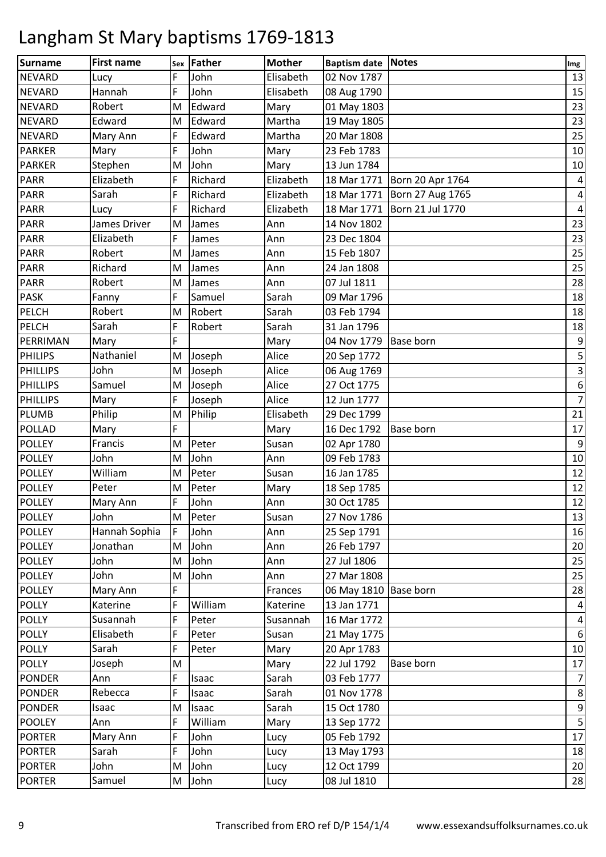| Surname         | <b>First name</b> | Sex | Father  | <b>Mother</b> | Baptism date Notes    |                  | Img                     |
|-----------------|-------------------|-----|---------|---------------|-----------------------|------------------|-------------------------|
| <b>NEVARD</b>   | Lucy              | F   | John    | Elisabeth     | 02 Nov 1787           |                  | 13                      |
| <b>NEVARD</b>   | Hannah            | F   | John    | Elisabeth     | 08 Aug 1790           |                  | 15                      |
| <b>NEVARD</b>   | Robert            | M   | Edward  | Mary          | 01 May 1803           |                  | 23                      |
| <b>NEVARD</b>   | Edward            | M   | Edward  | Martha        | 19 May 1805           |                  | 23                      |
| <b>NEVARD</b>   | Mary Ann          | F   | Edward  | Martha        | 20 Mar 1808           |                  | 25                      |
| <b>PARKER</b>   | Mary              | F   | John    | Mary          | 23 Feb 1783           |                  | $10\,$                  |
| <b>PARKER</b>   | Stephen           | M   | John    | Mary          | 13 Jun 1784           |                  | 10                      |
| PARR            | Elizabeth         | F   | Richard | Elizabeth     | 18 Mar 1771           | Born 20 Apr 1764 | $\pmb{4}$               |
| <b>PARR</b>     | Sarah             | F   | Richard | Elizabeth     | 18 Mar 1771           | Born 27 Aug 1765 | $\pmb{4}$               |
| <b>PARR</b>     | Lucy              | F   | Richard | Elizabeth     | 18 Mar 1771           | Born 21 Jul 1770 | $\pmb{4}$               |
| <b>PARR</b>     | James Driver      | M   | James   | Ann           | 14 Nov 1802           |                  | 23                      |
| <b>PARR</b>     | Elizabeth         | F   | James   | Ann           | 23 Dec 1804           |                  | 23                      |
| PARR            | Robert            | M   | James   | Ann           | 15 Feb 1807           |                  | 25                      |
| <b>PARR</b>     | Richard           | M   | James   | Ann           | 24 Jan 1808           |                  | 25                      |
| <b>PARR</b>     | Robert            | M   | James   | Ann           | 07 Jul 1811           |                  | 28                      |
| <b>PASK</b>     | Fanny             | F   | Samuel  | Sarah         | 09 Mar 1796           |                  | 18                      |
| PELCH           | Robert            | M   | Robert  | Sarah         | 03 Feb 1794           |                  | 18                      |
| PELCH           | Sarah             | F   | Robert  | Sarah         | 31 Jan 1796           |                  | 18                      |
| PERRIMAN        | Mary              | F   |         | Mary          | 04 Nov 1779           | <b>Base born</b> | $\boldsymbol{9}$        |
| <b>PHILIPS</b>  | Nathaniel         | M   | Joseph  | Alice         | 20 Sep 1772           |                  | $\mathsf S$             |
| <b>PHILLIPS</b> | John              | M   | Joseph  | Alice         | 06 Aug 1769           |                  | $\mathsf 3$             |
| <b>PHILLIPS</b> | Samuel            | M   | Joseph  | Alice         | 27 Oct 1775           |                  | $\boldsymbol{6}$        |
| <b>PHILLIPS</b> | Mary              | F   | Joseph  | Alice         | 12 Jun 1777           |                  | $\overline{7}$          |
| <b>PLUMB</b>    | Philip            | M   | Philip  | Elisabeth     | 29 Dec 1799           |                  | 21                      |
| <b>POLLAD</b>   | Mary              | F   |         | Mary          | 16 Dec 1792           | <b>Base born</b> | 17                      |
| <b>POLLEY</b>   | Francis           | M   | Peter   | Susan         | 02 Apr 1780           |                  | $\boldsymbol{9}$        |
| <b>POLLEY</b>   | John              | M   | John    | Ann           | 09 Feb 1783           |                  | 10                      |
| <b>POLLEY</b>   | William           | M   | Peter   | Susan         | 16 Jan 1785           |                  | 12                      |
| <b>POLLEY</b>   | Peter             | M   | Peter   | Mary          | 18 Sep 1785           |                  | 12                      |
| <b>POLLEY</b>   | Mary Ann          | F   | John    | Ann           | 30 Oct 1785           |                  | 12                      |
| <b>POLLEY</b>   | John              | M   | Peter   | Susan         | 27 Nov 1786           |                  | 13                      |
| <b>POLLEY</b>   | Hannah Sophia     | F   | John    | Ann           | 25 Sep 1791           |                  | 16                      |
| <b>POLLEY</b>   | Jonathan          | M   | John    | Ann           | 26 Feb 1797           |                  | 20                      |
| <b>POLLEY</b>   | John              | M   | John    | Ann           | 27 Jul 1806           |                  | 25                      |
| <b>POLLEY</b>   | John              | M   | John    | Ann           | 27 Mar 1808           |                  | 25                      |
| <b>POLLEY</b>   | Mary Ann          | F   |         | Frances       | 06 May 1810 Base born |                  | 28                      |
| <b>POLLY</b>    | Katerine          | F   | William | Katerine      | 13 Jan 1771           |                  | $\overline{\mathbf{r}}$ |
| <b>POLLY</b>    | Susannah          | F   | Peter   | Susannah      | 16 Mar 1772           |                  | $\pmb{4}$               |
| <b>POLLY</b>    | Elisabeth         | F   | Peter   | Susan         | 21 May 1775           |                  | $\boldsymbol{6}$        |
| <b>POLLY</b>    | Sarah             | F   | Peter   | Mary          | 20 Apr 1783           |                  | 10                      |
| <b>POLLY</b>    | Joseph            | M   |         | Mary          | 22 Jul 1792           | Base born        | 17                      |
| <b>PONDER</b>   | Ann               | F   | Isaac   | Sarah         | 03 Feb 1777           |                  | $\overline{7}$          |
| <b>PONDER</b>   | Rebecca           | F   | Isaac   | Sarah         | 01 Nov 1778           |                  | $\,8\,$                 |
| <b>PONDER</b>   | Isaac             | M   | Isaac   | Sarah         | 15 Oct 1780           |                  | $\boldsymbol{9}$        |
| <b>POOLEY</b>   | Ann               | F   | William | Mary          | 13 Sep 1772           |                  | $\mathsf S$             |
| <b>PORTER</b>   | Mary Ann          | F   | John    | Lucy          | 05 Feb 1792           |                  | 17                      |
| <b>PORTER</b>   | Sarah             | F   | John    | Lucy          | 13 May 1793           |                  | 18                      |
| <b>PORTER</b>   | John              | M   | John    | Lucy          | 12 Oct 1799           |                  | 20                      |
| <b>PORTER</b>   | Samuel            | M   | John    | Lucy          | 08 Jul 1810           |                  | 28                      |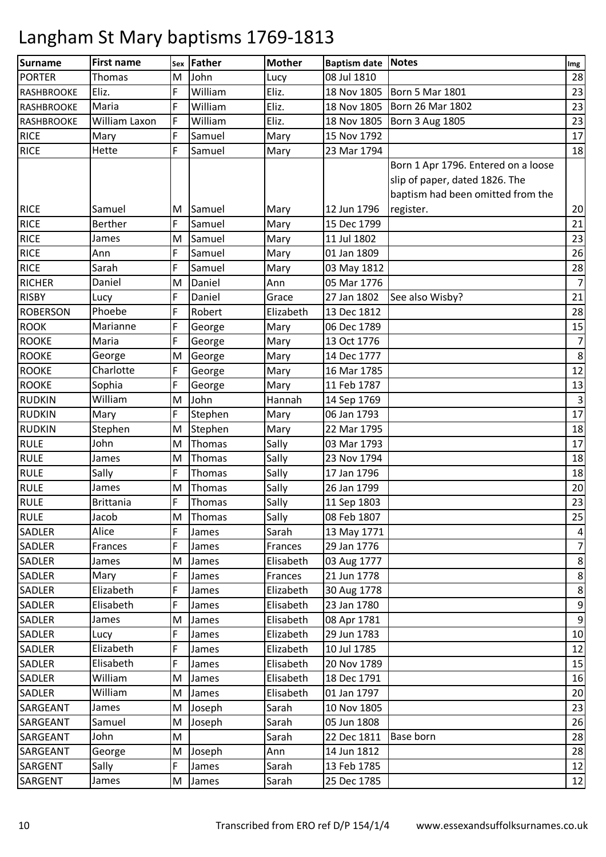| Surname           | <b>First name</b> | Sex | <b>Father</b> | <b>Mother</b> | Baptism date Notes |                                     | Img              |
|-------------------|-------------------|-----|---------------|---------------|--------------------|-------------------------------------|------------------|
| <b>PORTER</b>     | Thomas            | M   | John          | Lucy          | 08 Jul 1810        |                                     | 28               |
| RASHBROOKE        | Eliz.             | F   | William       | Eliz.         | 18 Nov 1805        | <b>Born 5 Mar 1801</b>              | 23               |
| <b>RASHBROOKE</b> | Maria             | F   | William       | Eliz.         | 18 Nov 1805        | Born 26 Mar 1802                    | 23               |
| <b>RASHBROOKE</b> | William Laxon     | F   | William       | Eliz.         | 18 Nov 1805        | <b>Born 3 Aug 1805</b>              | 23               |
| <b>RICE</b>       | Mary              | F   | Samuel        | Mary          | 15 Nov 1792        |                                     | 17               |
| <b>RICE</b>       | Hette             | F   | Samuel        | Mary          | 23 Mar 1794        |                                     | 18               |
|                   |                   |     |               |               |                    | Born 1 Apr 1796. Entered on a loose |                  |
|                   |                   |     |               |               |                    | slip of paper, dated 1826. The      |                  |
|                   |                   |     |               |               |                    | baptism had been omitted from the   |                  |
| <b>RICE</b>       | Samuel            | M   | Samuel        | Mary          | 12 Jun 1796        | register.                           | 20               |
| <b>RICE</b>       | <b>Berther</b>    | F   | Samuel        | Mary          | 15 Dec 1799        |                                     | 21               |
| <b>RICE</b>       | James             | M   | Samuel        | Mary          | 11 Jul 1802        |                                     | 23               |
| <b>RICE</b>       | Ann               | F   | Samuel        | Mary          | 01 Jan 1809        |                                     | 26               |
| <b>RICE</b>       | Sarah             | F   | Samuel        | Mary          | 03 May 1812        |                                     | 28               |
| <b>RICHER</b>     | Daniel            | M   | Daniel        | Ann           | 05 Mar 1776        |                                     | $\overline{7}$   |
| <b>RISBY</b>      | Lucy              | F   | Daniel        | Grace         | 27 Jan 1802        | See also Wisby?                     | 21               |
| <b>ROBERSON</b>   | Phoebe            | F   | Robert        | Elizabeth     | 13 Dec 1812        |                                     | 28               |
| <b>ROOK</b>       | Marianne          | F   | George        | Mary          | 06 Dec 1789        |                                     | 15               |
| <b>ROOKE</b>      | Maria             | F   | George        | Mary          | 13 Oct 1776        |                                     | $\overline{7}$   |
| <b>ROOKE</b>      | George            | M   | George        | Mary          | 14 Dec 1777        |                                     | $\,8\,$          |
| <b>ROOKE</b>      | Charlotte         | F   | George        | Mary          | 16 Mar 1785        |                                     | 12               |
| <b>ROOKE</b>      | Sophia            | F   | George        | Mary          | 11 Feb 1787        |                                     | 13               |
| <b>RUDKIN</b>     | William           | M   | John          | Hannah        | 14 Sep 1769        |                                     | $\mathbf{3}$     |
| <b>RUDKIN</b>     | Mary              | F   | Stephen       | Mary          | 06 Jan 1793        |                                     | 17               |
| <b>RUDKIN</b>     | Stephen           | M   | Stephen       | Mary          | 22 Mar 1795        |                                     | 18               |
| <b>RULE</b>       | John              | M   | Thomas        | Sally         | 03 Mar 1793        |                                     | 17               |
| <b>RULE</b>       | James             | M   | Thomas        | Sally         | 23 Nov 1794        |                                     | 18               |
| <b>RULE</b>       | Sally             | F   | Thomas        | Sally         | 17 Jan 1796        |                                     | 18               |
| <b>RULE</b>       | James             | M   | Thomas        | Sally         | 26 Jan 1799        |                                     | 20               |
| <b>RULE</b>       | <b>Brittania</b>  | F   | Thomas        | Sally         | 11 Sep 1803        |                                     | 23               |
| <b>RULE</b>       | Jacob             | M   | Thomas        | Sally         | 08 Feb 1807        |                                     | 25               |
| <b>SADLER</b>     | Alice             |     | James         | Sarah         | 13 May 1771        |                                     | 4                |
| <b>SADLER</b>     | Frances           | F   | James         | Frances       | 29 Jan 1776        |                                     | $\overline{7}$   |
| <b>SADLER</b>     | James             | M   | James         | Elisabeth     | 03 Aug 1777        |                                     | 8                |
| <b>SADLER</b>     | Mary              | F   | James         | Frances       | 21 Jun 1778        |                                     | 8                |
| <b>SADLER</b>     | Elizabeth         | F   | James         | Elizabeth     | 30 Aug 1778        |                                     | $\,8\,$          |
| SADLER            | Elisabeth         | F   | James         | Elisabeth     | 23 Jan 1780        |                                     | 9                |
| <b>SADLER</b>     | James             | M   | James         | Elisabeth     | 08 Apr 1781        |                                     | $\boldsymbol{9}$ |
| SADLER            | Lucy              | F   | James         | Elizabeth     | 29 Jun 1783        |                                     | 10               |
| <b>SADLER</b>     | Elizabeth         | F   | James         | Elizabeth     | 10 Jul 1785        |                                     | 12               |
| <b>SADLER</b>     | Elisabeth         | F   | James         | Elisabeth     | 20 Nov 1789        |                                     | 15               |
| <b>SADLER</b>     | William           | M   | James         | Elisabeth     | 18 Dec 1791        |                                     | 16               |
| <b>SADLER</b>     | William           | M   | James         | Elisabeth     | 01 Jan 1797        |                                     | 20               |
| SARGEANT          | James             | M   | Joseph        | Sarah         | 10 Nov 1805        |                                     | 23               |
| SARGEANT          | Samuel            | M   | Joseph        | Sarah         | 05 Jun 1808        |                                     | 26               |
| SARGEANT          | John              | M   |               | Sarah         | 22 Dec 1811        | <b>Base born</b>                    | 28               |
| SARGEANT          | George            | M   | Joseph        | Ann           | 14 Jun 1812        |                                     | 28               |
| SARGENT           | Sally             | F   | James         | Sarah         | 13 Feb 1785        |                                     | 12               |
| SARGENT           | James             | M   | James         | Sarah         | 25 Dec 1785        |                                     | 12               |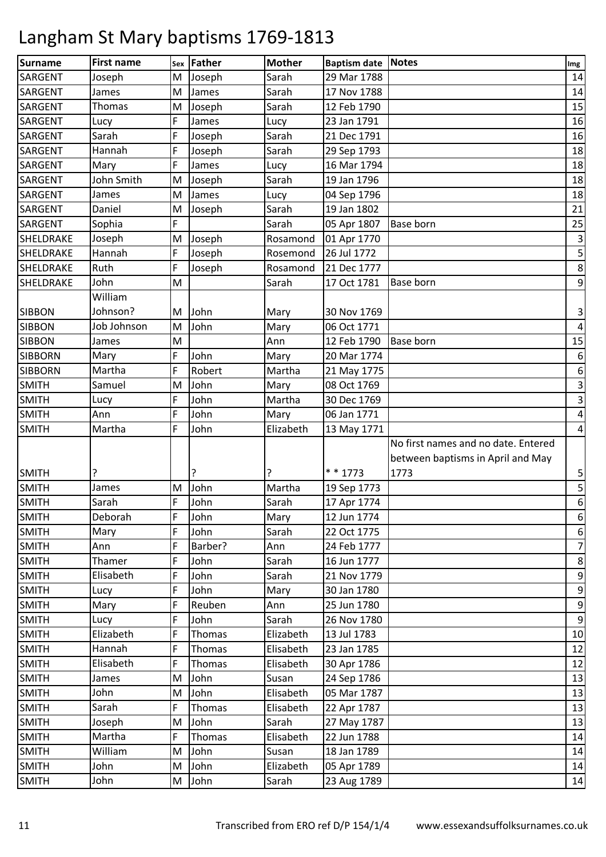| <b>Surname</b> | <b>First name</b> | Sex | <b>Father</b> | <b>Mother</b> | <b>Baptism date Notes</b> |                                     | Img                       |
|----------------|-------------------|-----|---------------|---------------|---------------------------|-------------------------------------|---------------------------|
| <b>SARGENT</b> | Joseph            | M   | Joseph        | Sarah         | 29 Mar 1788               |                                     | 14                        |
| <b>SARGENT</b> | James             | M   | James         | Sarah         | 17 Nov 1788               |                                     | 14                        |
| SARGENT        | Thomas            | M   | Joseph        | Sarah         | 12 Feb 1790               |                                     | 15                        |
| <b>SARGENT</b> | Lucy              | F   | James         | Lucy          | 23 Jan 1791               |                                     | 16                        |
| SARGENT        | Sarah             | F   | Joseph        | Sarah         | 21 Dec 1791               |                                     | 16                        |
| <b>SARGENT</b> | Hannah            | F   | Joseph        | Sarah         | 29 Sep 1793               |                                     | 18                        |
| SARGENT        | Mary              | F   | James         | Lucy          | 16 Mar 1794               |                                     | 18                        |
| <b>SARGENT</b> | John Smith        | M   | Joseph        | Sarah         | 19 Jan 1796               |                                     | 18                        |
| <b>SARGENT</b> | James             | M   | James         | Lucy          | 04 Sep 1796               |                                     | 18                        |
| <b>SARGENT</b> | Daniel            | M   | Joseph        | Sarah         | 19 Jan 1802               |                                     | 21                        |
| <b>SARGENT</b> | Sophia            | F   |               | Sarah         | 05 Apr 1807               | Base born                           | 25                        |
| SHELDRAKE      | Joseph            | M   | Joseph        | Rosamond      | 01 Apr 1770               |                                     | $\mathsf 3$               |
| SHELDRAKE      | Hannah            | F   | Joseph        | Rosemond      | 26 Jul 1772               |                                     | 5                         |
| SHELDRAKE      | Ruth              | F   | Joseph        | Rosamond      | 21 Dec 1777               |                                     | $\,$ 8 $\,$               |
| SHELDRAKE      | John              | M   |               | Sarah         | 17 Oct 1781               | Base born                           | $\boldsymbol{9}$          |
|                | William           |     |               |               |                           |                                     |                           |
| <b>SIBBON</b>  | Johnson?          | M   | John          | Mary          | 30 Nov 1769               |                                     | $\ensuremath{\mathsf{3}}$ |
| <b>SIBBON</b>  | Job Johnson       | M   | John          | Mary          | 06 Oct 1771               |                                     | $\overline{\mathbf{4}}$   |
| <b>SIBBON</b>  | James             | M   |               | Ann           | 12 Feb 1790               | <b>Base born</b>                    | 15                        |
| <b>SIBBORN</b> | Mary              | F   | John          | Mary          | 20 Mar 1774               |                                     | $\boldsymbol{6}$          |
| <b>SIBBORN</b> | Martha            | F   | Robert        | Martha        | 21 May 1775               |                                     | $\boldsymbol{6}$          |
| <b>SMITH</b>   | Samuel            | M   | John          | Mary          | 08 Oct 1769               |                                     | $\mathsf 3$               |
| <b>SMITH</b>   | Lucy              | F   | John          | Martha        | 30 Dec 1769               |                                     | $\mathbf{3}$              |
| <b>SMITH</b>   | Ann               | F   | John          | Mary          | 06 Jan 1771               |                                     | $\overline{4}$            |
| <b>SMITH</b>   | Martha            | F   | John          | Elizabeth     | 13 May 1771               |                                     | $\overline{a}$            |
|                |                   |     |               |               |                           | No first names and no date. Entered |                           |
|                |                   |     |               |               |                           | between baptisms in April and May   |                           |
| <b>SMITH</b>   | ?                 |     | ?             | ŗ             | * * 1773                  | 1773                                | 5                         |
| <b>SMITH</b>   | James             | M   | John          | Martha        | 19 Sep 1773               |                                     | 5                         |
| <b>SMITH</b>   | Sarah             | F   | John          | Sarah         | 17 Apr 1774               |                                     | $\boldsymbol{6}$          |
| <b>SMITH</b>   | Deborah           | F   | John          | Mary          | 12 Jun 1774               |                                     | $\boldsymbol{6}$          |
| <b>SMITH</b>   | Mary              | F   | John          | Sarah         | 22 Oct 1775               |                                     | $\boldsymbol{6}$          |
| <b>SMITH</b>   | Ann               | F   | Barber?       | Ann           | 24 Feb 1777               |                                     | $\overline{7}$            |
| <b>SMITH</b>   | Thamer            | F   | John          | Sarah         | 16 Jun 1777               |                                     | $\bf 8$                   |
| <b>SMITH</b>   | Elisabeth         | F   | John          | Sarah         | 21 Nov 1779               |                                     | $\boldsymbol{9}$          |
| <b>SMITH</b>   | Lucy              | F   | John          | Mary          | 30 Jan 1780               |                                     | $\boldsymbol{9}$          |
| <b>SMITH</b>   | Mary              | F   | Reuben        | Ann           | 25 Jun 1780               |                                     | $\boldsymbol{9}$          |
| <b>SMITH</b>   | Lucy              | F   | John          | Sarah         | 26 Nov 1780               |                                     | $\overline{9}$            |
| <b>SMITH</b>   | Elizabeth         | F   | Thomas        | Elizabeth     | 13 Jul 1783               |                                     | 10                        |
| <b>SMITH</b>   | Hannah            | F   | Thomas        | Elisabeth     | 23 Jan 1785               |                                     | 12                        |
| <b>SMITH</b>   | Elisabeth         | F   | Thomas        | Elisabeth     | 30 Apr 1786               |                                     | 12                        |
| <b>SMITH</b>   | James             | M   | John          | Susan         | 24 Sep 1786               |                                     | 13                        |
| <b>SMITH</b>   | John              | M   | John          | Elisabeth     | 05 Mar 1787               |                                     | 13                        |
| <b>SMITH</b>   | Sarah             | F   | Thomas        | Elisabeth     | 22 Apr 1787               |                                     | 13                        |
| <b>SMITH</b>   | Joseph            | M   | John          | Sarah         | 27 May 1787               |                                     | 13                        |
| <b>SMITH</b>   | Martha            | F   | Thomas        | Elisabeth     | 22 Jun 1788               |                                     | 14                        |
| <b>SMITH</b>   | William           | M   | John          | Susan         | 18 Jan 1789               |                                     | 14                        |
| <b>SMITH</b>   | John              | M   | John          | Elizabeth     | 05 Apr 1789               |                                     | 14                        |
| <b>SMITH</b>   | John              | M   | John          | Sarah         | 23 Aug 1789               |                                     | 14                        |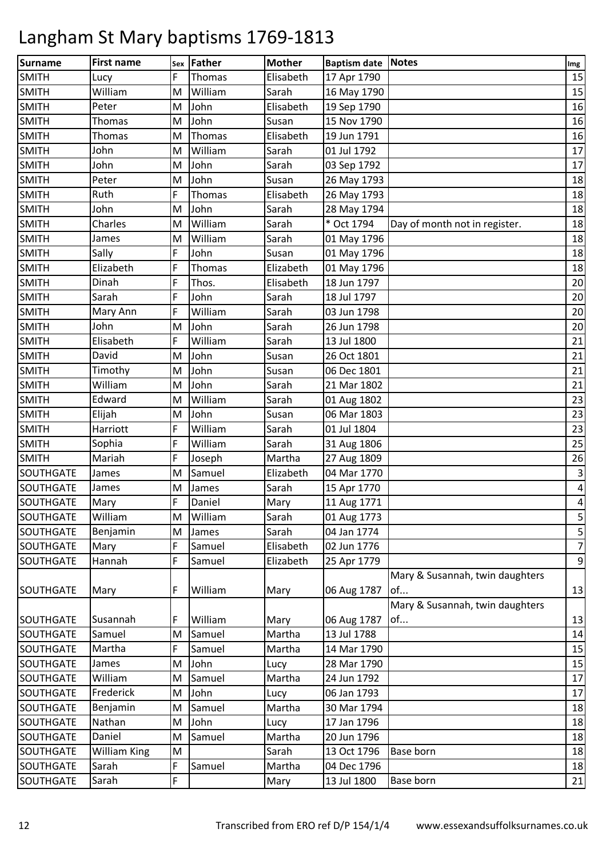| Surname          | <b>First name</b> |   | Sex Father | <b>Mother</b> | <b>Baptism date Notes</b> |                                 | Img                     |
|------------------|-------------------|---|------------|---------------|---------------------------|---------------------------------|-------------------------|
| <b>SMITH</b>     | Lucy              | F | Thomas     | Elisabeth     | 17 Apr 1790               |                                 | 15                      |
| <b>SMITH</b>     | William           | M | William    | Sarah         | 16 May 1790               |                                 | 15                      |
| <b>SMITH</b>     | Peter             | M | John       | Elisabeth     | 19 Sep 1790               |                                 | 16                      |
| <b>SMITH</b>     | Thomas            | M | John       | Susan         | 15 Nov 1790               |                                 | 16                      |
| <b>SMITH</b>     | Thomas            | M | Thomas     | Elisabeth     | 19 Jun 1791               |                                 | 16                      |
| <b>SMITH</b>     | John              | M | William    | Sarah         | 01 Jul 1792               |                                 | 17                      |
| <b>SMITH</b>     | John              | M | John       | Sarah         | 03 Sep 1792               |                                 | 17                      |
| <b>SMITH</b>     | Peter             | M | John       | Susan         | 26 May 1793               |                                 | 18                      |
| <b>SMITH</b>     | Ruth              | F | Thomas     | Elisabeth     | 26 May 1793               |                                 | 18                      |
| <b>SMITH</b>     | John              | M | John       | Sarah         | 28 May 1794               |                                 | 18                      |
| <b>SMITH</b>     | Charles           | M | William    | Sarah         | * Oct 1794                | Day of month not in register.   | 18                      |
| <b>SMITH</b>     | James             | M | William    | Sarah         | 01 May 1796               |                                 | 18                      |
| <b>SMITH</b>     | Sally             | F | John       | Susan         | 01 May 1796               |                                 | 18                      |
| <b>SMITH</b>     | Elizabeth         | F | Thomas     | Elizabeth     | 01 May 1796               |                                 | 18                      |
| <b>SMITH</b>     | Dinah             | F | Thos.      | Elisabeth     | 18 Jun 1797               |                                 | 20                      |
| <b>SMITH</b>     | Sarah             | F | John       | Sarah         | 18 Jul 1797               |                                 | 20                      |
| <b>SMITH</b>     | Mary Ann          | F | William    | Sarah         | 03 Jun 1798               |                                 | 20                      |
| <b>SMITH</b>     | John              | M | John       | Sarah         | 26 Jun 1798               |                                 | 20                      |
| <b>SMITH</b>     | Elisabeth         | F | William    | Sarah         | 13 Jul 1800               |                                 | 21                      |
| <b>SMITH</b>     | David             | M | John       | Susan         | 26 Oct 1801               |                                 | 21                      |
| <b>SMITH</b>     | Timothy           | M | John       | Susan         | 06 Dec 1801               |                                 | 21                      |
| <b>SMITH</b>     | William           | M | John       | Sarah         | 21 Mar 1802               |                                 | 21                      |
| <b>SMITH</b>     | Edward            | M | William    | Sarah         | 01 Aug 1802               |                                 | 23                      |
| <b>SMITH</b>     | Elijah            | M | John       | Susan         | 06 Mar 1803               |                                 | 23                      |
| <b>SMITH</b>     | Harriott          | F | William    | Sarah         | 01 Jul 1804               |                                 | 23                      |
| <b>SMITH</b>     | Sophia            | F | William    | Sarah         | 31 Aug 1806               |                                 | 25                      |
| <b>SMITH</b>     | Mariah            | F | Joseph     | Martha        | 27 Aug 1809               |                                 | 26                      |
| <b>SOUTHGATE</b> | James             | M | Samuel     | Elizabeth     | 04 Mar 1770               |                                 | $\mathsf 3$             |
| <b>SOUTHGATE</b> | James             | M | James      | Sarah         | 15 Apr 1770               |                                 | $\overline{\mathbf{r}}$ |
| <b>SOUTHGATE</b> | Mary              | F | Daniel     | Mary          | 11 Aug 1771               |                                 | $\pmb{4}$               |
| <b>SOUTHGATE</b> | William           | M | William    | Sarah         | 01 Aug 1773               |                                 | 5                       |
| <b>SOUTHGATE</b> | Benjamin          | M | James      | Sarah         | 04 Jan 1774               |                                 | 5                       |
| SOUTHGATE        | Mary              | F | Samuel     | Elisabeth     | 02 Jun 1776               |                                 | $\overline{7}$          |
| SOUTHGATE        | Hannah            | F | Samuel     | Elizabeth     | 25 Apr 1779               |                                 | $\boldsymbol{9}$        |
|                  |                   |   |            |               |                           | Mary & Susannah, twin daughters |                         |
| SOUTHGATE        | Mary              | F | William    | Mary          | 06 Aug 1787               | of                              | 13                      |
|                  |                   |   |            |               |                           | Mary & Susannah, twin daughters |                         |
| SOUTHGATE        | Susannah          | F | William    | Mary          | 06 Aug 1787               | of                              | 13                      |
| SOUTHGATE        | Samuel            | M | Samuel     | Martha        | 13 Jul 1788               |                                 | 14                      |
| <b>SOUTHGATE</b> | Martha            | F | Samuel     | Martha        | 14 Mar 1790               |                                 | 15                      |
| <b>SOUTHGATE</b> | James             | M | John       | Lucy          | 28 Mar 1790               |                                 | 15                      |
| SOUTHGATE        | William           | M | Samuel     | Martha        | 24 Jun 1792               |                                 | 17                      |
| SOUTHGATE        | Frederick         | M | John       | Lucy          | 06 Jan 1793               |                                 | 17                      |
| <b>SOUTHGATE</b> | Benjamin          | M | Samuel     | Martha        | 30 Mar 1794               |                                 | 18                      |
| <b>SOUTHGATE</b> | Nathan            | M | John       | Lucy          | 17 Jan 1796               |                                 | 18                      |
| <b>SOUTHGATE</b> | Daniel            | M | Samuel     | Martha        | 20 Jun 1796               |                                 | 18                      |
| SOUTHGATE        | William King      | M |            | Sarah         | 13 Oct 1796               | Base born                       | 18                      |
| SOUTHGATE        | Sarah             | F | Samuel     | Martha        | 04 Dec 1796               |                                 | 18                      |
| SOUTHGATE        | Sarah             | F |            | Mary          | 13 Jul 1800               | Base born                       | 21                      |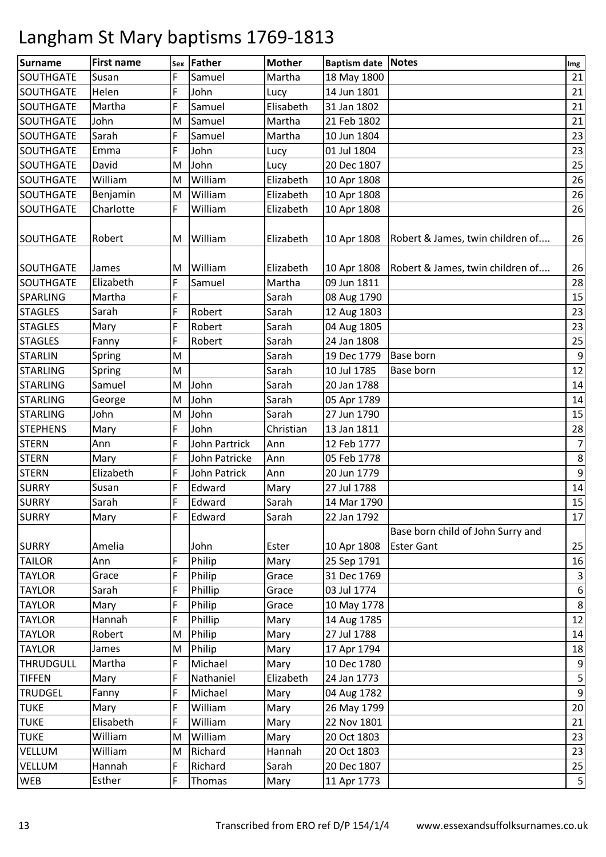| <b>Surname</b>   | <b>First name</b> | Sex | Father        | <b>Mother</b> | Baptism date Notes |                                                        | Img              |
|------------------|-------------------|-----|---------------|---------------|--------------------|--------------------------------------------------------|------------------|
| SOUTHGATE        | Susan             | F   | Samuel        | Martha        | 18 May 1800        |                                                        | 21               |
| SOUTHGATE        | Helen             | F   | John          | Lucy          | 14 Jun 1801        |                                                        | 21               |
| SOUTHGATE        | Martha            | F   | Samuel        | Elisabeth     | 31 Jan 1802        |                                                        | 21               |
| SOUTHGATE        | John              | M   | Samuel        | Martha        | 21 Feb 1802        |                                                        | 21               |
| SOUTHGATE        | Sarah             | F   | Samuel        | Martha        | 10 Jun 1804        |                                                        | 23               |
| SOUTHGATE        | Emma              | F   | John          | Lucy          | 01 Jul 1804        |                                                        | 23               |
| SOUTHGATE        | David             | M   | John          | Lucy          | 20 Dec 1807        |                                                        | 25               |
| SOUTHGATE        | William           | M   | William       | Elizabeth     | 10 Apr 1808        |                                                        | 26               |
| <b>SOUTHGATE</b> | Benjamin          | M   | William       | Elizabeth     | 10 Apr 1808        |                                                        | 26               |
| <b>SOUTHGATE</b> | Charlotte         | F   | William       | Elizabeth     | 10 Apr 1808        |                                                        | 26               |
| <b>SOUTHGATE</b> | Robert            | M   | William       | Elizabeth     | 10 Apr 1808        | Robert & James, twin children of                       | 26               |
| <b>SOUTHGATE</b> | James             | M   | William       | Elizabeth     | 10 Apr 1808        | Robert & James, twin children of                       | 26               |
| <b>SOUTHGATE</b> | Elizabeth         | F   | Samuel        | Martha        | 09 Jun 1811        |                                                        | 28               |
| <b>SPARLING</b>  | Martha            | F   |               | Sarah         | 08 Aug 1790        |                                                        | 15               |
| <b>STAGLES</b>   | Sarah             | F   | Robert        | Sarah         | 12 Aug 1803        |                                                        | 23               |
| <b>STAGLES</b>   | Mary              | F   | Robert        | Sarah         | 04 Aug 1805        |                                                        | 23               |
| <b>STAGLES</b>   | Fanny             | F   | Robert        | Sarah         | 24 Jan 1808        |                                                        | 25               |
| <b>STARLIN</b>   | Spring            | M   |               | Sarah         | 19 Dec 1779        | Base born                                              | $\boldsymbol{9}$ |
| <b>STARLING</b>  | Spring            | M   |               | Sarah         | 10 Jul 1785        | <b>Base born</b>                                       | 12               |
| <b>STARLING</b>  | Samuel            | M   | John          | Sarah         | 20 Jan 1788        |                                                        | 14               |
| <b>STARLING</b>  | George            | M   | John          | Sarah         | 05 Apr 1789        |                                                        | 14               |
| <b>STARLING</b>  | John              | M   | John          | Sarah         | 27 Jun 1790        |                                                        | 15               |
| <b>STEPHENS</b>  | Mary              | F   | John          | Christian     | 13 Jan 1811        |                                                        | 28               |
| <b>STERN</b>     | Ann               | F   | John Partrick | Ann           | 12 Feb 1777        |                                                        | $\overline{7}$   |
| <b>STERN</b>     | Mary              | F   | John Patricke | Ann           | 05 Feb 1778        |                                                        | $\bf 8$          |
| <b>STERN</b>     | Elizabeth         | F   | John Patrick  | Ann           | 20 Jun 1779        |                                                        | $\boldsymbol{9}$ |
| <b>SURRY</b>     | Susan             | F   | Edward        | Mary          | 27 Jul 1788        |                                                        | $14\,$           |
| <b>SURRY</b>     | Sarah             | F   | Edward        | Sarah         | 14 Mar 1790        |                                                        | 15               |
| <b>SURRY</b>     | Mary              | F   | Edward        | Sarah         | 22 Jan 1792        |                                                        | 17               |
| <b>SURRY</b>     | Amelia            |     | John          | Ester         | 10 Apr 1808        | Base born child of John Surry and<br><b>Ester Gant</b> | 25               |
| <b>TAILOR</b>    | Ann               | F   | Philip        | Mary          | 25 Sep 1791        |                                                        | 16               |
| <b>TAYLOR</b>    | Grace             | F   | Philip        | Grace         | 31 Dec 1769        |                                                        | $\mathsf 3$      |
| <b>TAYLOR</b>    | Sarah             | F   | Phillip       | Grace         | 03 Jul 1774        |                                                        | $\boldsymbol{6}$ |
| <b>TAYLOR</b>    | Mary              | F   | Philip        | Grace         | 10 May 1778        |                                                        | $\,8\,$          |
| <b>TAYLOR</b>    | Hannah            | F   | Phillip       | Mary          | 14 Aug 1785        |                                                        | 12               |
| <b>TAYLOR</b>    | Robert            | M   | Philip        | Mary          | 27 Jul 1788        |                                                        | 14               |
| <b>TAYLOR</b>    | James             | M   | Philip        | Mary          | 17 Apr 1794        |                                                        | 18               |
| <b>THRUDGULL</b> | Martha            | F   | Michael       | Mary          | 10 Dec 1780        |                                                        | $\boldsymbol{9}$ |
| <b>TIFFEN</b>    | Mary              | F   | Nathaniel     | Elizabeth     | 24 Jan 1773        |                                                        | 5                |
| <b>TRUDGEL</b>   | Fanny             | F   | Michael       | Mary          | 04 Aug 1782        |                                                        | $\boldsymbol{9}$ |
| <b>TUKE</b>      | Mary              | F   | William       | Mary          | 26 May 1799        |                                                        | 20               |
| <b>TUKE</b>      | Elisabeth         | F   | William       | Mary          | 22 Nov 1801        |                                                        | 21               |
| <b>TUKE</b>      | William           | M   | William       | Mary          | 20 Oct 1803        |                                                        | 23               |
| VELLUM           | William           | м   | Richard       | Hannah        | 20 Oct 1803        |                                                        | 23               |
| VELLUM           | Hannah            | F   | Richard       | Sarah         | 20 Dec 1807        |                                                        | 25               |
| WEB              | Esther            | F   | Thomas        | Mary          | 11 Apr 1773        |                                                        | $\overline{5}$   |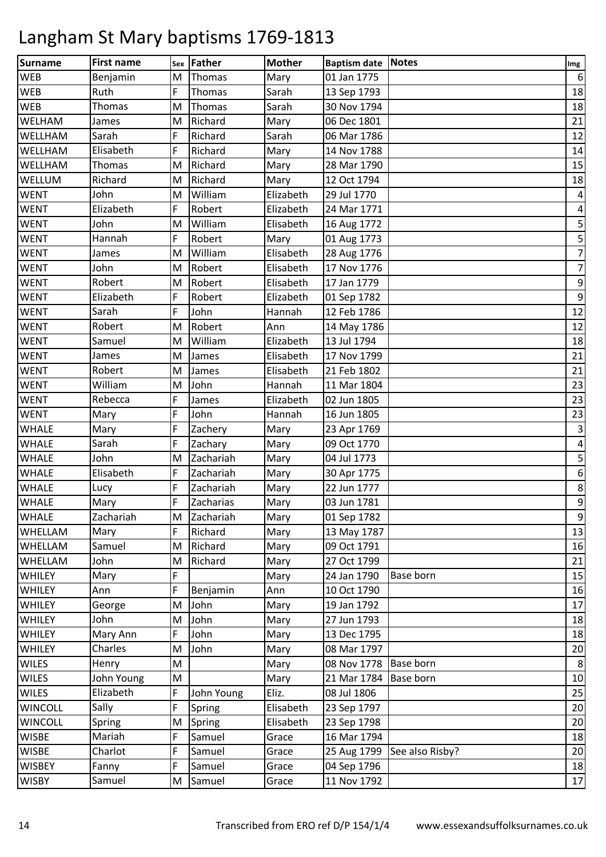| <b>Surname</b> | <b>First name</b> | Sex | Father     | <b>Mother</b> | <b>Baptism date Notes</b> |                  | Img                     |
|----------------|-------------------|-----|------------|---------------|---------------------------|------------------|-------------------------|
| <b>WEB</b>     | Benjamin          | M   | Thomas     | Mary          | 01 Jan 1775               |                  | $6\phantom{1}6$         |
| <b>WEB</b>     | Ruth              | F   | Thomas     | Sarah         | 13 Sep 1793               |                  | 18                      |
| <b>WEB</b>     | Thomas            | M   | Thomas     | Sarah         | 30 Nov 1794               |                  | 18                      |
| WELHAM         | James             | M   | Richard    | Mary          | 06 Dec 1801               |                  | 21                      |
| WELLHAM        | Sarah             | F   | Richard    | Sarah         | 06 Mar 1786               |                  | 12                      |
| WELLHAM        | Elisabeth         | F   | Richard    | Mary          | 14 Nov 1788               |                  | 14                      |
| WELLHAM        | Thomas            | M   | Richard    | Mary          | 28 Mar 1790               |                  | 15                      |
| WELLUM         | Richard           | M   | Richard    | Mary          | 12 Oct 1794               |                  | 18                      |
| <b>WENT</b>    | John              | M   | William    | Elizabeth     | 29 Jul 1770               |                  | $\overline{a}$          |
| <b>WENT</b>    | Elizabeth         | F   | Robert     | Elizabeth     | 24 Mar 1771               |                  | $\overline{\mathbf{4}}$ |
| <b>WENT</b>    | John              | M   | William    | Elisabeth     | 16 Aug 1772               |                  | $\mathsf S$             |
| <b>WENT</b>    | Hannah            | F   | Robert     | Mary          | 01 Aug 1773               |                  | 5                       |
| <b>WENT</b>    | James             | M   | William    | Elisabeth     | 28 Aug 1776               |                  | $\overline{7}$          |
| <b>WENT</b>    | John              | M   | Robert     | Elisabeth     | 17 Nov 1776               |                  | $\overline{7}$          |
| <b>WENT</b>    | Robert            | M   | Robert     | Elisabeth     | 17 Jan 1779               |                  | 9                       |
| <b>WENT</b>    | Elizabeth         | F   | Robert     | Elizabeth     | 01 Sep 1782               |                  | $\boldsymbol{9}$        |
| <b>WENT</b>    | Sarah             | F   | John       | Hannah        | 12 Feb 1786               |                  | 12                      |
| <b>WENT</b>    | Robert            | M   | Robert     | Ann           | 14 May 1786               |                  | 12                      |
| <b>WENT</b>    | Samuel            | M   | William    | Elizabeth     | 13 Jul 1794               |                  | 18                      |
| <b>WENT</b>    | James             | M   | James      | Elisabeth     | 17 Nov 1799               |                  | 21                      |
| <b>WENT</b>    | Robert            | M   | James      | Elisabeth     | 21 Feb 1802               |                  | 21                      |
| <b>WENT</b>    | William           | M   | John       | Hannah        | 11 Mar 1804               |                  | 23                      |
| <b>WENT</b>    | Rebecca           | F   | James      | Elizabeth     | 02 Jun 1805               |                  | 23                      |
| <b>WENT</b>    | Mary              | F   | John       | Hannah        | 16 Jun 1805               |                  | 23                      |
| <b>WHALE</b>   | Mary              | F   | Zachery    | Mary          | 23 Apr 1769               |                  | $\mathsf 3$             |
| <b>WHALE</b>   | Sarah             | F   | Zachary    | Mary          | 09 Oct 1770               |                  | $\overline{4}$          |
| <b>WHALE</b>   | John              | M   | Zachariah  | Mary          | 04 Jul 1773               |                  | 5                       |
| <b>WHALE</b>   | Elisabeth         | F   | Zachariah  | Mary          | 30 Apr 1775               |                  | $\boldsymbol{6}$        |
| <b>WHALE</b>   | Lucy              | F   | Zachariah  | Mary          | 22 Jun 1777               |                  | $\,8\,$                 |
| <b>WHALE</b>   | Mary              | F   | Zacharias  | Mary          | 03 Jun 1781               |                  | $\boldsymbol{9}$        |
| <b>WHALE</b>   | Zachariah         | M   | Zachariah  | Mary          | 01 Sep 1782               |                  | $\boldsymbol{9}$        |
| WHELLAM        | Mary              | F   | Richard    | Mary          | 13 May 1787               |                  | 13                      |
| WHELLAM        | Samuel            | M   | Richard    | Mary          | 09 Oct 1791               |                  | 16                      |
| <b>WHELLAM</b> | John              | M   | Richard    | Mary          | 27 Oct 1799               |                  | 21                      |
| <b>WHILEY</b>  | Mary              | F   |            | Mary          | 24 Jan 1790               | <b>Base born</b> | 15                      |
| WHILEY         | Ann               | F   | Benjamin   | Ann           | 10 Oct 1790               |                  | 16                      |
| WHILEY         | George            | M   | John       | Mary          | 19 Jan 1792               |                  | 17                      |
| WHILEY         | John              | M   | John       | Mary          | 27 Jun 1793               |                  | 18                      |
| WHILEY         | Mary Ann          | F   | John       | Mary          | 13 Dec 1795               |                  | 18                      |
| WHILEY         | Charles           | M   | John       | Mary          | 08 Mar 1797               |                  | 20                      |
| <b>WILES</b>   | Henry             | M   |            | Mary          | 08 Nov 1778               | <b>Base born</b> | 8                       |
| <b>WILES</b>   | John Young        | M   |            | Mary          | 21 Mar 1784               | <b>Base born</b> | 10                      |
| <b>WILES</b>   | Elizabeth         | F.  | John Young | Eliz.         | 08 Jul 1806               |                  | 25                      |
| <b>WINCOLL</b> | Sally             | F   | Spring     | Elisabeth     | 23 Sep 1797               |                  | 20                      |
| <b>WINCOLL</b> | Spring            | M   | Spring     | Elisabeth     | 23 Sep 1798               |                  | 20                      |
| <b>WISBE</b>   | Mariah            | F   | Samuel     | Grace         | 16 Mar 1794               |                  | 18                      |
| <b>WISBE</b>   | Charlot           | F   | Samuel     | Grace         | 25 Aug 1799               | See also Risby?  | 20                      |
| <b>WISBEY</b>  | Fanny             | F   | Samuel     | Grace         | 04 Sep 1796               |                  | 18                      |
| <b>WISBY</b>   | Samuel            | M   | Samuel     | Grace         | 11 Nov 1792               |                  | 17                      |